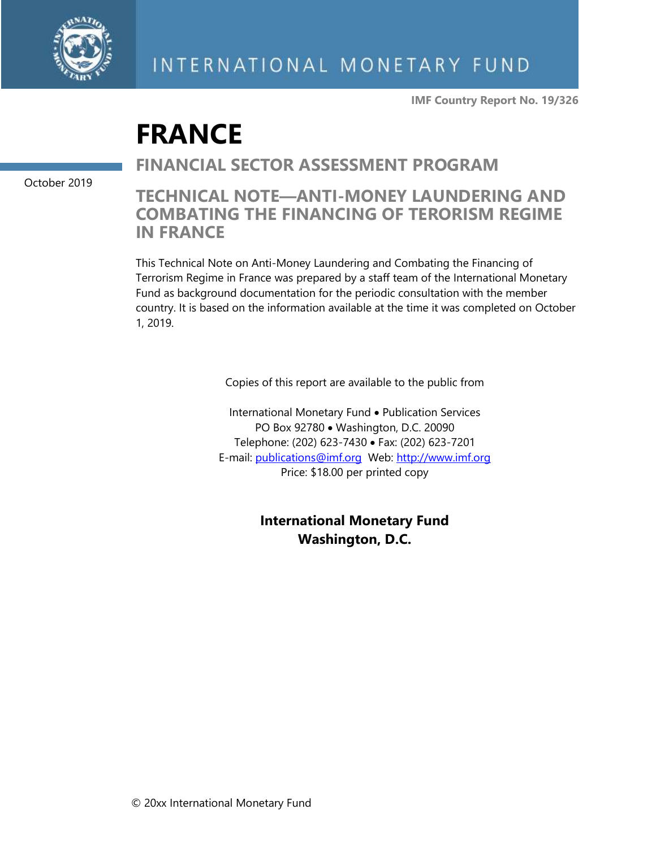

**IMF Country Report No. 19/326**

# **FRANCE**

**FINANCIAL SECTOR ASSESSMENT PROGRAM**

October 2019

## **TECHNICAL NOTE—ANTI-MONEY LAUNDERING AND COMBATING THE FINANCING OF TERORISM REGIME IN FRANCE**

This Technical Note on Anti-Money Laundering and Combating the Financing of Terrorism Regime in France was prepared by a staff team of the International Monetary Fund as background documentation for the periodic consultation with the member country. It is based on the information available at the time it was completed on October 1, 2019.

Copies of this report are available to the public from

International Monetary Fund • Publication Services PO Box 92780 • Washington, D.C. 20090 Telephone: (202) 623-7430 • Fax: (202) 623-7201 E-mail: [publications@imf.org](mailto:publications@imf.org) Web: [http://www.imf.org](http://www.imf.org/) Price: \$18.00 per printed copy

> **International Monetary Fund Washington, D.C.**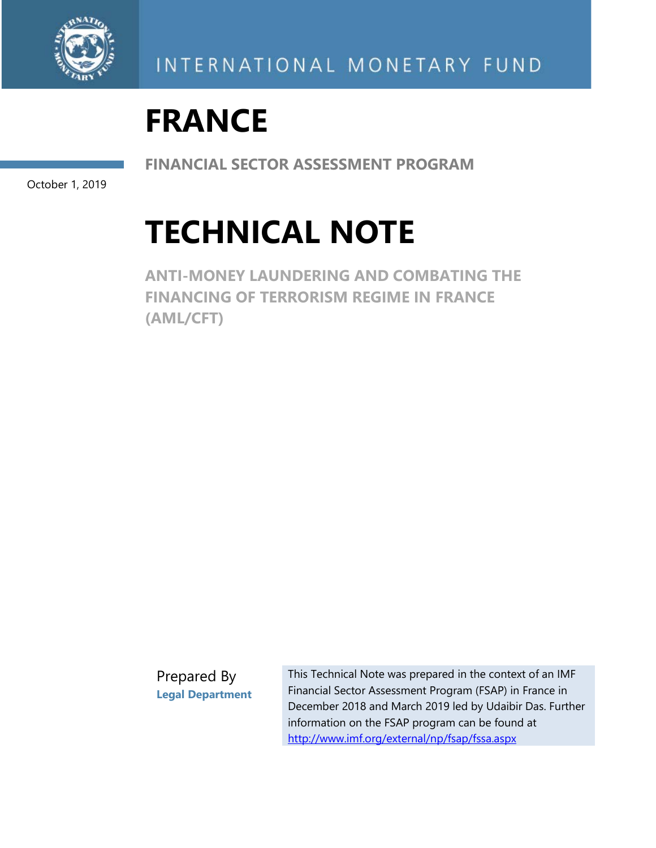

# **FRANCE**

**FINANCIAL SECTOR ASSESSMENT PROGRAM** 

October 1, 2019

# **TECHNICAL NOTE**

**ANTI-MONEY LAUNDERING AND COMBATING THE FINANCING OF TERRORISM REGIME IN FRANCE (AML/CFT)**

Prepared By **Legal Department**

This Technical Note was prepared in the context of an IMF Financial Sector Assessment Program (FSAP) in France in December 2018 and March 2019 led by Udaibir Das. Further information on the FSAP program can be found at <http://www.imf.org/external/np/fsap/fssa.aspx>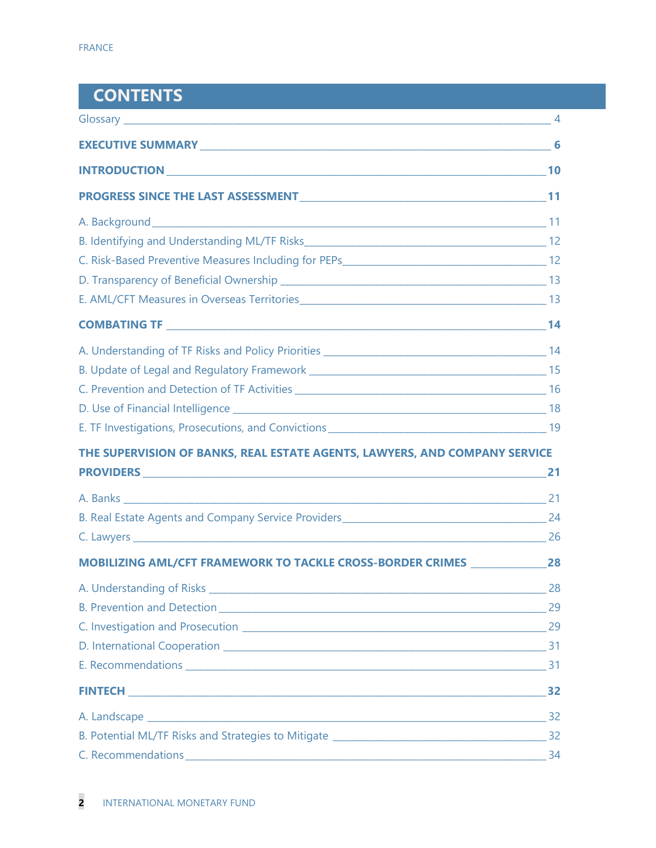| <b>CONTENTS</b>                                                                    |  |
|------------------------------------------------------------------------------------|--|
|                                                                                    |  |
|                                                                                    |  |
|                                                                                    |  |
|                                                                                    |  |
|                                                                                    |  |
|                                                                                    |  |
|                                                                                    |  |
|                                                                                    |  |
|                                                                                    |  |
|                                                                                    |  |
|                                                                                    |  |
|                                                                                    |  |
|                                                                                    |  |
|                                                                                    |  |
|                                                                                    |  |
| THE SUPERVISION OF BANKS, REAL ESTATE AGENTS, LAWYERS, AND COMPANY SERVICE         |  |
|                                                                                    |  |
|                                                                                    |  |
|                                                                                    |  |
|                                                                                    |  |
| MOBILIZING AML/CFT FRAMEWORK TO TACKLE CROSS-BORDER CRIMES _____________________28 |  |
|                                                                                    |  |
|                                                                                    |  |
|                                                                                    |  |
|                                                                                    |  |
|                                                                                    |  |
|                                                                                    |  |
|                                                                                    |  |
|                                                                                    |  |
|                                                                                    |  |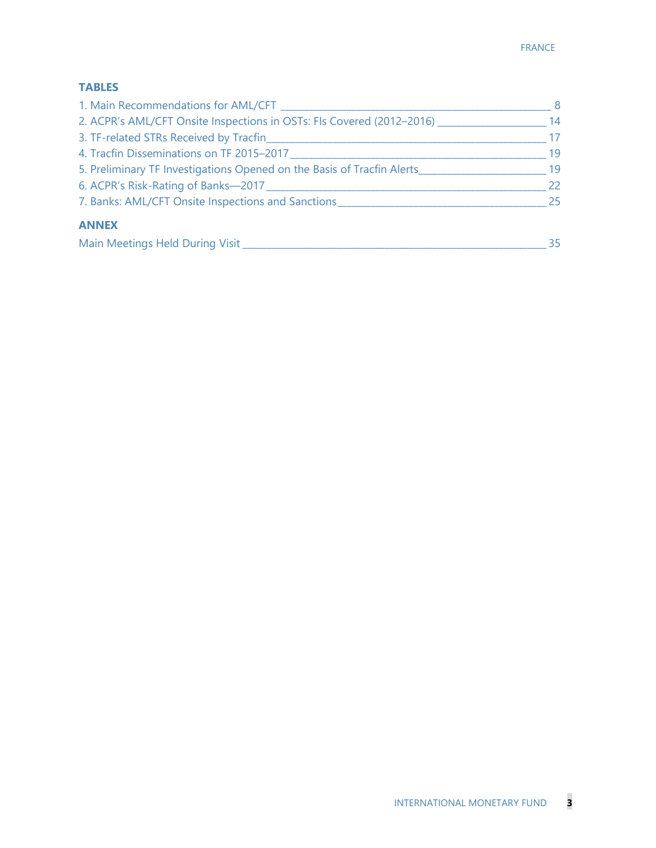#### **TABLES**

| 1. Main Recommendations for AML/CFT                                    | 8  |
|------------------------------------------------------------------------|----|
| 2. ACPR's AML/CFT Onsite Inspections in OSTs: Fls Covered (2012-2016)  | 14 |
| 3. TF-related STRs Received by Tracfin                                 | 17 |
| 4. Tracfin Disseminations on TF 2015-2017                              | 19 |
| 5. Preliminary TF Investigations Opened on the Basis of Tracfin Alerts | 19 |
| 6. ACPR's Risk-Rating of Banks-2017                                    | 22 |
| 7. Banks: AML/CFT Onsite Inspections and Sanctions                     | 25 |
| <b>ANNEX</b>                                                           |    |
| Main Meetings Held During Visit                                        | 35 |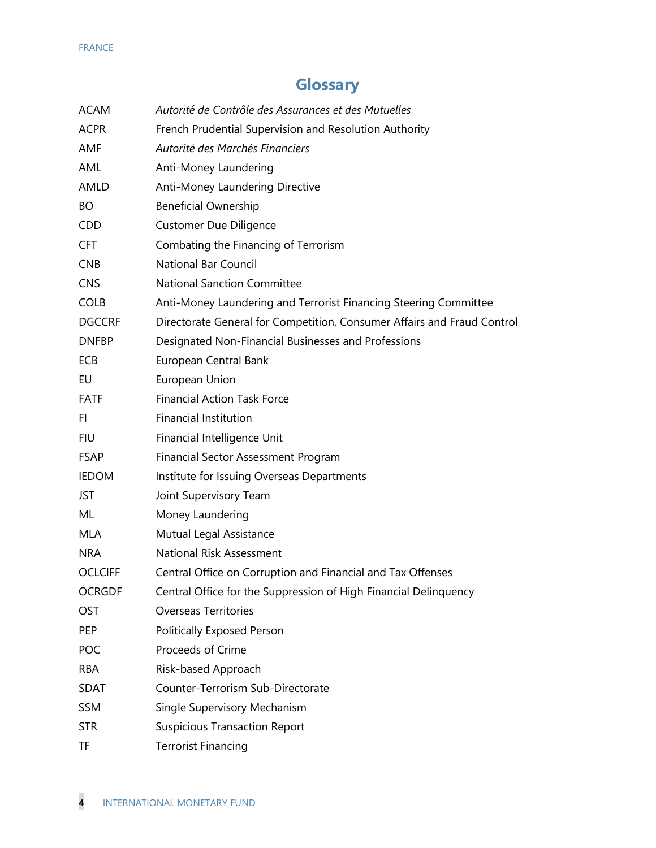## **Glossary**

| <b>ACAM</b>     | Autorité de Contrôle des Assurances et des Mutuelles                    |
|-----------------|-------------------------------------------------------------------------|
| <b>ACPR</b>     | French Prudential Supervision and Resolution Authority                  |
| AMF             | Autorité des Marchés Financiers                                         |
| AML             | Anti-Money Laundering                                                   |
| AMLD            | Anti-Money Laundering Directive                                         |
| <b>BO</b>       | <b>Beneficial Ownership</b>                                             |
| CDD.            | <b>Customer Due Diligence</b>                                           |
| <b>CFT</b>      | Combating the Financing of Terrorism                                    |
| CN <sub>B</sub> | <b>National Bar Council</b>                                             |
| <b>CNS</b>      | <b>National Sanction Committee</b>                                      |
| <b>COLB</b>     | Anti-Money Laundering and Terrorist Financing Steering Committee        |
| <b>DGCCRF</b>   | Directorate General for Competition, Consumer Affairs and Fraud Control |
| <b>DNFBP</b>    | Designated Non-Financial Businesses and Professions                     |
| <b>ECB</b>      | European Central Bank                                                   |
| EU              | European Union                                                          |
| <b>FATF</b>     | <b>Financial Action Task Force</b>                                      |
| FI              | <b>Financial Institution</b>                                            |
| <b>FIU</b>      | Financial Intelligence Unit                                             |
| <b>FSAP</b>     | <b>Financial Sector Assessment Program</b>                              |
| <b>IEDOM</b>    | Institute for Issuing Overseas Departments                              |
| JST             | Joint Supervisory Team                                                  |
| ML              | Money Laundering                                                        |
| MLA             | Mutual Legal Assistance                                                 |
| NRA             | National Risk Assessment                                                |
| <b>OCLCIFF</b>  | Central Office on Corruption and Financial and Tax Offenses             |
| <b>OCRGDF</b>   | Central Office for the Suppression of High Financial Delinquency        |
| <b>OST</b>      | <b>Overseas Territories</b>                                             |
| <b>PEP</b>      | <b>Politically Exposed Person</b>                                       |
| POC             | Proceeds of Crime                                                       |
| <b>RBA</b>      | Risk-based Approach                                                     |
| <b>SDAT</b>     | Counter-Terrorism Sub-Directorate                                       |
| <b>SSM</b>      | Single Supervisory Mechanism                                            |
| <b>STR</b>      | <b>Suspicious Transaction Report</b>                                    |
| ΤF              | <b>Terrorist Financing</b>                                              |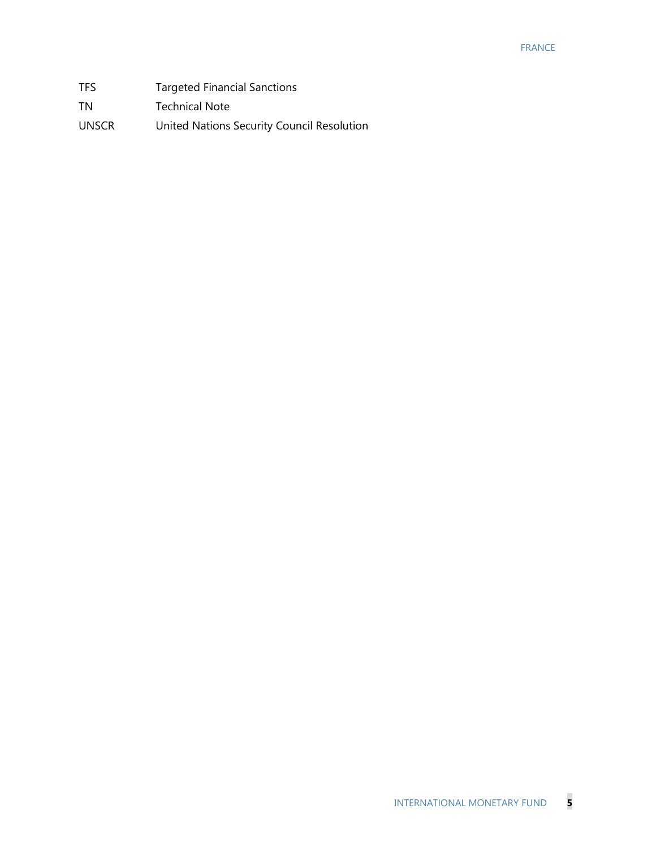#### FRANCE

| TFS.         | <b>Targeted Financial Sanctions</b>        |
|--------------|--------------------------------------------|
| TN           | <b>Technical Note</b>                      |
| <b>UNSCR</b> | United Nations Security Council Resolution |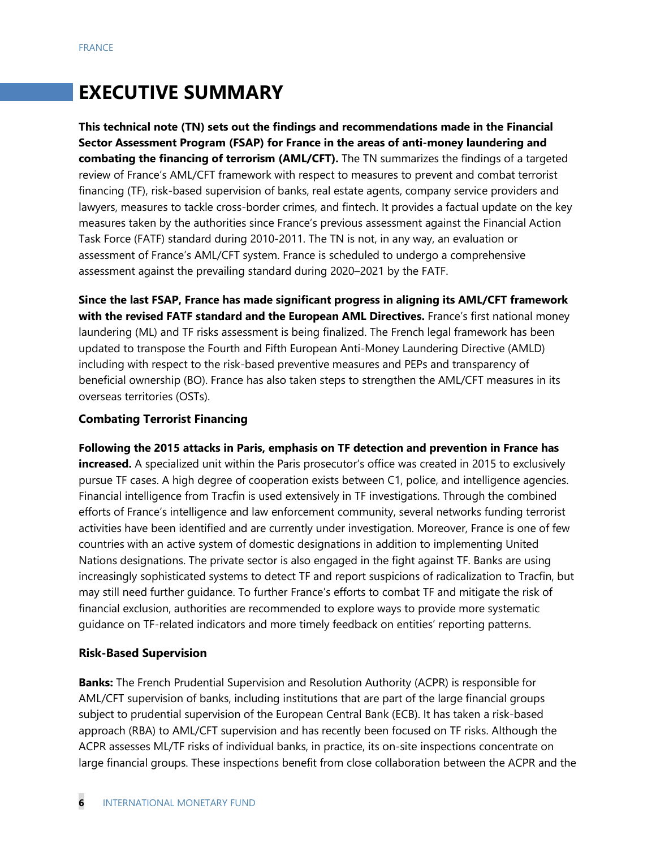# **EXECUTIVE SUMMARY**

**This technical note (TN) sets out the findings and recommendations made in the Financial Sector Assessment Program (FSAP) for France in the areas of anti-money laundering and combating the financing of terrorism (AML/CFT).** The TN summarizes the findings of a targeted review of France's AML/CFT framework with respect to measures to prevent and combat terrorist financing (TF), risk-based supervision of banks, real estate agents, company service providers and lawyers, measures to tackle cross-border crimes, and fintech. It provides a factual update on the key measures taken by the authorities since France's previous assessment against the Financial Action Task Force (FATF) standard during 2010-2011. The TN is not, in any way, an evaluation or assessment of France's AML/CFT system. France is scheduled to undergo a comprehensive assessment against the prevailing standard during 2020–2021 by the FATF.

**Since the last FSAP, France has made significant progress in aligning its AML/CFT framework with the revised FATF standard and the European AML Directives.** France's first national money laundering (ML) and TF risks assessment is being finalized. The French legal framework has been updated to transpose the Fourth and Fifth European Anti-Money Laundering Directive (AMLD) including with respect to the risk-based preventive measures and PEPs and transparency of beneficial ownership (BO). France has also taken steps to strengthen the AML/CFT measures in its overseas territories (OSTs).

#### **Combating Terrorist Financing**

**Following the 2015 attacks in Paris, emphasis on TF detection and prevention in France has increased.** A specialized unit within the Paris prosecutor's office was created in 2015 to exclusively pursue TF cases. A high degree of cooperation exists between C1, police, and intelligence agencies. Financial intelligence from Tracfin is used extensively in TF investigations. Through the combined efforts of France's intelligence and law enforcement community, several networks funding terrorist activities have been identified and are currently under investigation. Moreover, France is one of few countries with an active system of domestic designations in addition to implementing United Nations designations. The private sector is also engaged in the fight against TF. Banks are using increasingly sophisticated systems to detect TF and report suspicions of radicalization to Tracfin, but may still need further guidance. To further France's efforts to combat TF and mitigate the risk of financial exclusion, authorities are recommended to explore ways to provide more systematic guidance on TF-related indicators and more timely feedback on entities' reporting patterns.

#### **Risk-Based Supervision**

**Banks:** The French Prudential Supervision and Resolution Authority (ACPR) is responsible for AML/CFT supervision of banks, including institutions that are part of the large financial groups subject to prudential supervision of the European Central Bank (ECB). It has taken a risk-based approach (RBA) to AML/CFT supervision and has recently been focused on TF risks. Although the ACPR assesses ML/TF risks of individual banks, in practice, its on-site inspections concentrate on large financial groups. These inspections benefit from close collaboration between the ACPR and the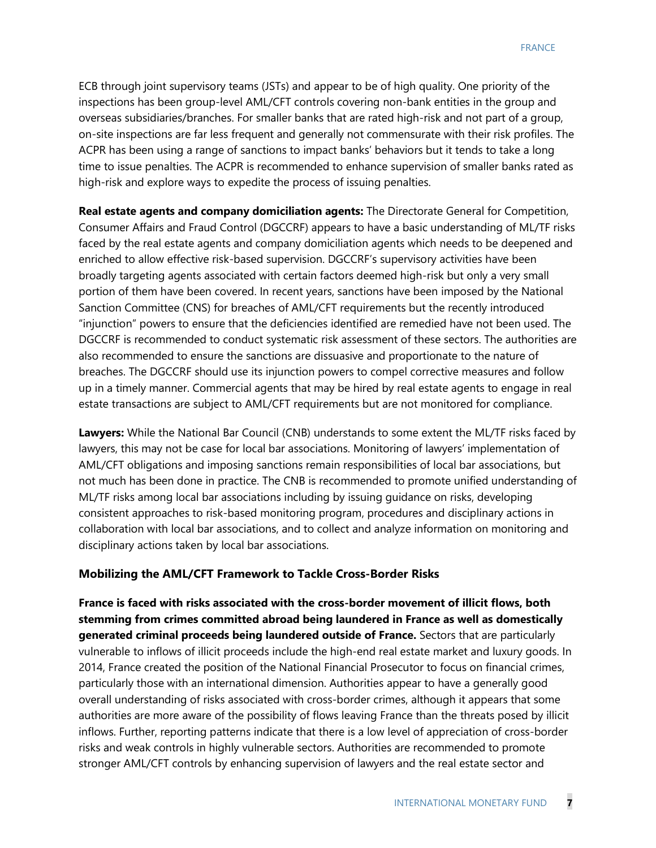ECB through joint supervisory teams (JSTs) and appear to be of high quality. One priority of the inspections has been group-level AML/CFT controls covering non-bank entities in the group and overseas subsidiaries/branches. For smaller banks that are rated high-risk and not part of a group, on-site inspections are far less frequent and generally not commensurate with their risk profiles. The ACPR has been using a range of sanctions to impact banks' behaviors but it tends to take a long time to issue penalties. The ACPR is recommended to enhance supervision of smaller banks rated as high-risk and explore ways to expedite the process of issuing penalties.

**Real estate agents and company domiciliation agents:** The Directorate General for Competition, Consumer Affairs and Fraud Control (DGCCRF) appears to have a basic understanding of ML/TF risks faced by the real estate agents and company domiciliation agents which needs to be deepened and enriched to allow effective risk-based supervision. DGCCRF's supervisory activities have been broadly targeting agents associated with certain factors deemed high-risk but only a very small portion of them have been covered. In recent years, sanctions have been imposed by the National Sanction Committee (CNS) for breaches of AML/CFT requirements but the recently introduced "injunction" powers to ensure that the deficiencies identified are remedied have not been used. The DGCCRF is recommended to conduct systematic risk assessment of these sectors. The authorities are also recommended to ensure the sanctions are dissuasive and proportionate to the nature of breaches. The DGCCRF should use its injunction powers to compel corrective measures and follow up in a timely manner. Commercial agents that may be hired by real estate agents to engage in real estate transactions are subject to AML/CFT requirements but are not monitored for compliance.

**Lawyers:** While the National Bar Council (CNB) understands to some extent the ML/TF risks faced by lawyers, this may not be case for local bar associations. Monitoring of lawyers' implementation of AML/CFT obligations and imposing sanctions remain responsibilities of local bar associations, but not much has been done in practice. The CNB is recommended to promote unified understanding of ML/TF risks among local bar associations including by issuing guidance on risks, developing consistent approaches to risk-based monitoring program, procedures and disciplinary actions in collaboration with local bar associations, and to collect and analyze information on monitoring and disciplinary actions taken by local bar associations.

#### **Mobilizing the AML/CFT Framework to Tackle Cross-Border Risks**

**France is faced with risks associated with the cross-border movement of illicit flows, both stemming from crimes committed abroad being laundered in France as well as domestically generated criminal proceeds being laundered outside of France.** Sectors that are particularly vulnerable to inflows of illicit proceeds include the high-end real estate market and luxury goods. In 2014, France created the position of the National Financial Prosecutor to focus on financial crimes, particularly those with an international dimension. Authorities appear to have a generally good overall understanding of risks associated with cross-border crimes, although it appears that some authorities are more aware of the possibility of flows leaving France than the threats posed by illicit inflows. Further, reporting patterns indicate that there is a low level of appreciation of cross-border risks and weak controls in highly vulnerable sectors. Authorities are recommended to promote stronger AML/CFT controls by enhancing supervision of lawyers and the real estate sector and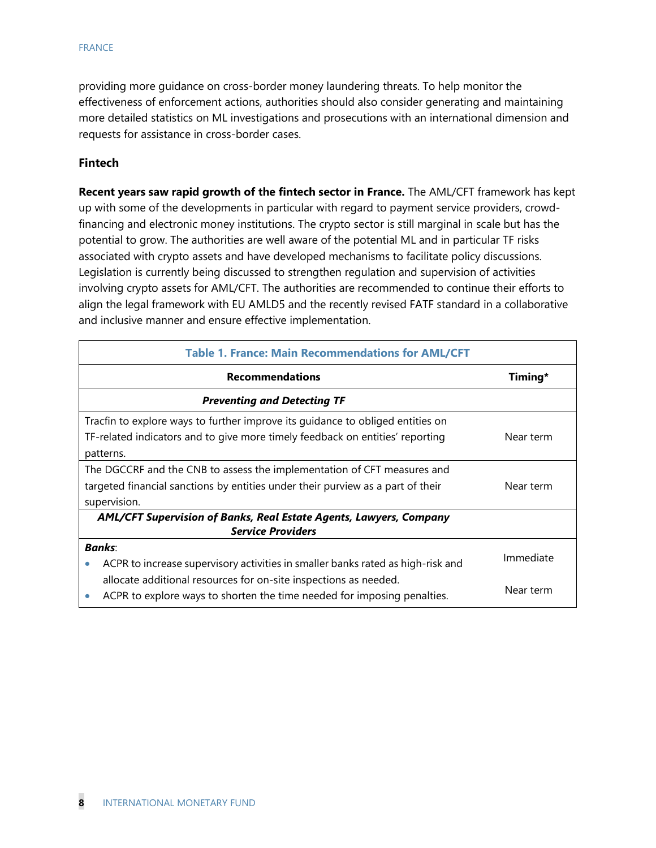#### FRANCE

providing more guidance on cross-border money laundering threats. To help monitor the effectiveness of enforcement actions, authorities should also consider generating and maintaining more detailed statistics on ML investigations and prosecutions with an international dimension and requests for assistance in cross-border cases.

#### **Fintech**

**Recent years saw rapid growth of the fintech sector in France.** The AML/CFT framework has kept up with some of the developments in particular with regard to payment service providers, crowdfinancing and electronic money institutions. The crypto sector is still marginal in scale but has the potential to grow. The authorities are well aware of the potential ML and in particular TF risks associated with crypto assets and have developed mechanisms to facilitate policy discussions. Legislation is currently being discussed to strengthen regulation and supervision of activities involving crypto assets for AML/CFT. The authorities are recommended to continue their efforts to align the legal framework with EU AMLD5 and the recently revised FATF standard in a collaborative and inclusive manner and ensure effective implementation.

| <b>Table 1. France: Main Recommendations for AML/CFT</b>                        |           |
|---------------------------------------------------------------------------------|-----------|
| <b>Recommendations</b>                                                          | Timing*   |
| <b>Preventing and Detecting TF</b>                                              |           |
| Tracfin to explore ways to further improve its guidance to obliged entities on  |           |
| TF-related indicators and to give more timely feedback on entities' reporting   | Near term |
| patterns.                                                                       |           |
| The DGCCRF and the CNB to assess the implementation of CFT measures and         |           |
| targeted financial sanctions by entities under their purview as a part of their | Near term |
| supervision.                                                                    |           |
| AML/CFT Supervision of Banks, Real Estate Agents, Lawyers, Company              |           |
| <b>Service Providers</b>                                                        |           |
| <b>Banks:</b>                                                                   |           |
| ACPR to increase supervisory activities in smaller banks rated as high-risk and | Immediate |
| allocate additional resources for on-site inspections as needed.                |           |
| ACPR to explore ways to shorten the time needed for imposing penalties.         | Near term |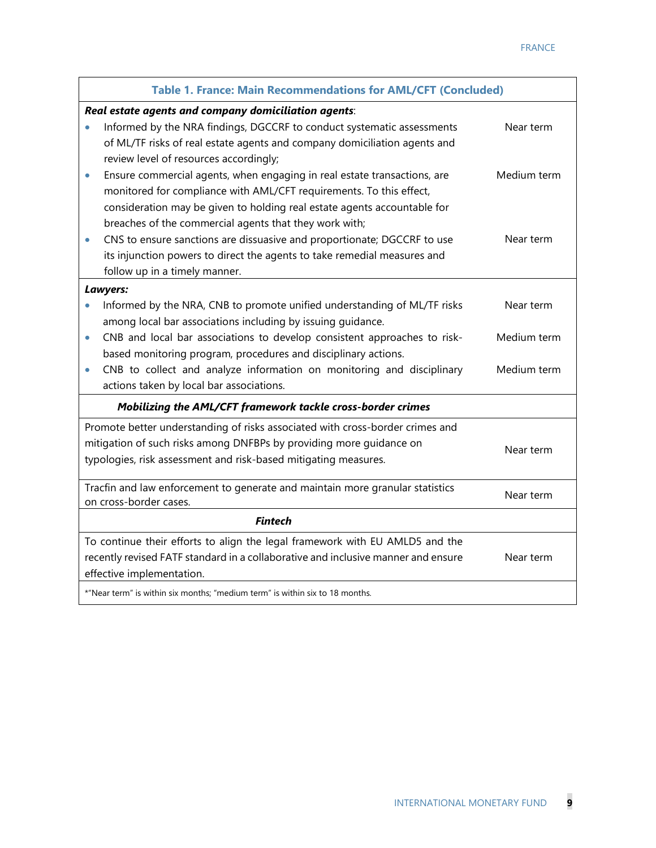|           | <b>Table 1. France: Main Recommendations for AML/CFT (Concluded)</b>                                    |             |  |  |
|-----------|---------------------------------------------------------------------------------------------------------|-------------|--|--|
|           | Real estate agents and company domiciliation agents:                                                    |             |  |  |
| $\bullet$ | Informed by the NRA findings, DGCCRF to conduct systematic assessments                                  | Near term   |  |  |
|           | of ML/TF risks of real estate agents and company domiciliation agents and                               |             |  |  |
|           | review level of resources accordingly;                                                                  |             |  |  |
| $\bullet$ | Ensure commercial agents, when engaging in real estate transactions, are                                | Medium term |  |  |
|           | monitored for compliance with AML/CFT requirements. To this effect,                                     |             |  |  |
|           | consideration may be given to holding real estate agents accountable for                                |             |  |  |
|           | breaches of the commercial agents that they work with;                                                  |             |  |  |
| $\bullet$ | CNS to ensure sanctions are dissuasive and proportionate; DGCCRF to use                                 | Near term   |  |  |
|           | its injunction powers to direct the agents to take remedial measures and                                |             |  |  |
|           | follow up in a timely manner.                                                                           |             |  |  |
|           | Lawyers:                                                                                                |             |  |  |
|           | Informed by the NRA, CNB to promote unified understanding of ML/TF risks                                | Near term   |  |  |
|           | among local bar associations including by issuing guidance.                                             |             |  |  |
| $\bullet$ | CNB and local bar associations to develop consistent approaches to risk-                                | Medium term |  |  |
|           | based monitoring program, procedures and disciplinary actions.                                          |             |  |  |
| $\bullet$ | CNB to collect and analyze information on monitoring and disciplinary                                   | Medium term |  |  |
|           | actions taken by local bar associations.                                                                |             |  |  |
|           | Mobilizing the AML/CFT framework tackle cross-border crimes                                             |             |  |  |
|           | Promote better understanding of risks associated with cross-border crimes and                           |             |  |  |
|           | mitigation of such risks among DNFBPs by providing more guidance on                                     | Near term   |  |  |
|           | typologies, risk assessment and risk-based mitigating measures.                                         |             |  |  |
|           |                                                                                                         |             |  |  |
|           | Tracfin and law enforcement to generate and maintain more granular statistics<br>on cross-border cases. | Near term   |  |  |
|           |                                                                                                         |             |  |  |
|           | <b>Fintech</b>                                                                                          |             |  |  |
|           | To continue their efforts to align the legal framework with EU AMLD5 and the                            |             |  |  |
|           | recently revised FATF standard in a collaborative and inclusive manner and ensure                       | Near term   |  |  |
|           | effective implementation.                                                                               |             |  |  |
|           | *"Near term" is within six months; "medium term" is within six to 18 months.                            |             |  |  |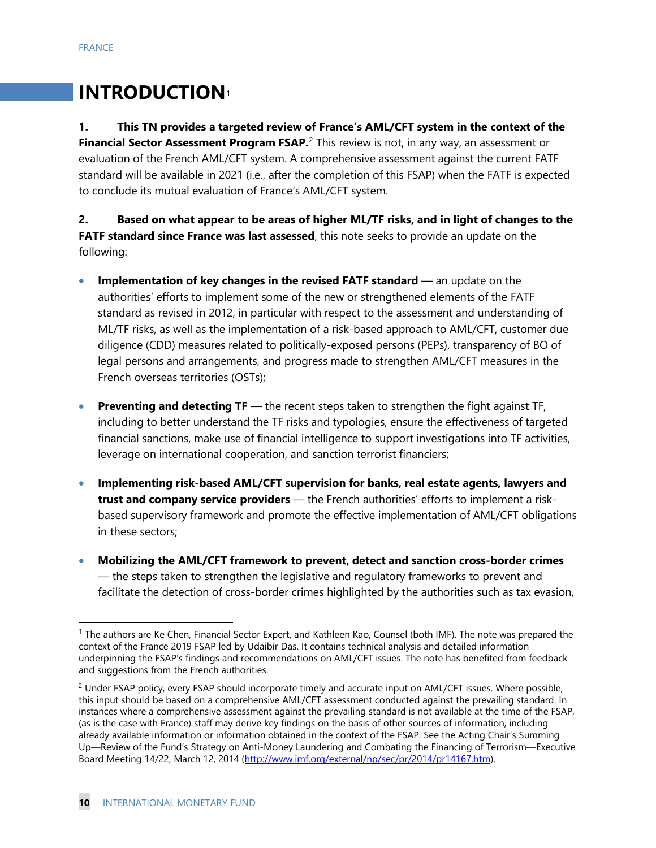# **INTRODUCTION[1](#page-10-0)**

**1. This TN provides a targeted review of France's AML/CFT system in the context of the Financial Sector Assessment Program FSAP.**<sup>[2](#page-10-1)</sup> This review is not, in any way, an assessment or evaluation of the French AML/CFT system. A comprehensive assessment against the current FATF standard will be available in 2021 (i.e., after the completion of this FSAP) when the FATF is expected to conclude its mutual evaluation of France's AML/CFT system.

**2. Based on what appear to be areas of higher ML/TF risks, and in light of changes to the FATF standard since France was last assessed**, this note seeks to provide an update on the following:

- **Implementation of key changes in the revised FATF standard** an update on the authorities' efforts to implement some of the new or strengthened elements of the FATF standard as revised in 2012, in particular with respect to the assessment and understanding of ML/TF risks, as well as the implementation of a risk-based approach to AML/CFT, customer due diligence (CDD) measures related to politically-exposed persons (PEPs), transparency of BO of legal persons and arrangements, and progress made to strengthen AML/CFT measures in the French overseas territories (OSTs);
- **Preventing and detecting TF** the recent steps taken to strengthen the fight against TF, including to better understand the TF risks and typologies, ensure the effectiveness of targeted financial sanctions, make use of financial intelligence to support investigations into TF activities, leverage on international cooperation, and sanction terrorist financiers;
- **Implementing risk-based AML/CFT supervision for banks, real estate agents, lawyers and trust and company service providers** — the French authorities' efforts to implement a riskbased supervisory framework and promote the effective implementation of AML/CFT obligations in these sectors;
- **Mobilizing the AML/CFT framework to prevent, detect and sanction cross-border crimes** — the steps taken to strengthen the legislative and regulatory frameworks to prevent and facilitate the detection of cross-border crimes highlighted by the authorities such as tax evasion,

<span id="page-10-0"></span><sup>&</sup>lt;sup>1</sup> The authors are Ke Chen, Financial Sector Expert, and Kathleen Kao, Counsel (both IMF). The note was prepared the context of the France 2019 FSAP led by Udaibir Das. It contains technical analysis and detailed information underpinning the FSAP's findings and recommendations on AML/CFT issues. The note has benefited from feedback and suggestions from the French authorities.

<span id="page-10-1"></span><sup>&</sup>lt;sup>2</sup> Under FSAP policy, every FSAP should incorporate timely and accurate input on AML/CFT issues. Where possible, this input should be based on a comprehensive AML/CFT assessment conducted against the prevailing standard. In instances where a comprehensive assessment against the prevailing standard is not available at the time of the FSAP, (as is the case with France) staff may derive key findings on the basis of other sources of information, including already available information or information obtained in the context of the FSAP. See the Acting Chair's Summing Up—Review of the Fund's Strategy on Anti-Money Laundering and Combating the Financing of Terrorism—Executive Board Meeting 14/22, March 12, 2014 [\(http://www.imf.org/external/np/sec/pr/2014/pr14167.htm\)](http://www.imf.org/external/np/sec/pr/2014/pr14167.htm).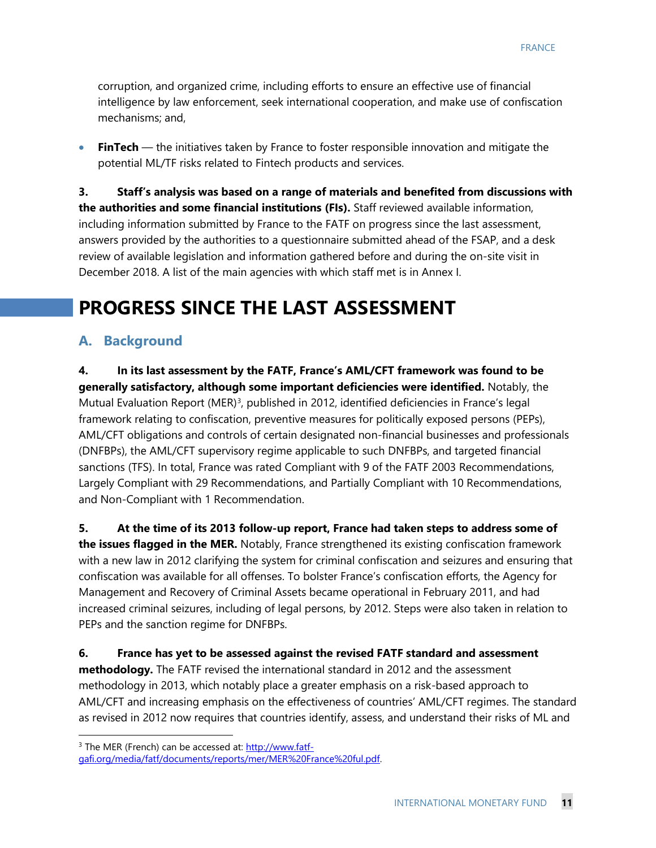corruption, and organized crime, including efforts to ensure an effective use of financial intelligence by law enforcement, seek international cooperation, and make use of confiscation mechanisms; and,

• **FinTech** — the initiatives taken by France to foster responsible innovation and mitigate the potential ML/TF risks related to Fintech products and services.

**3. Staff's analysis was based on a range of materials and benefited from discussions with the authorities and some financial institutions (FIs).** Staff reviewed available information, including information submitted by France to the FATF on progress since the last assessment, answers provided by the authorities to a questionnaire submitted ahead of the FSAP, and a desk review of available legislation and information gathered before and during the on-site visit in December 2018. A list of the main agencies with which staff met is in Annex I.

# **PROGRESS SINCE THE LAST ASSESSMENT**

### **A. Background**

**4. In its last assessment by the FATF, France's AML/CFT framework was found to be generally satisfactory, although some important deficiencies were identified.** Notably, the Mutual Evaluation Report (MER)<sup>[3](#page-11-0)</sup>, published in 2012, identified deficiencies in France's legal framework relating to confiscation, preventive measures for politically exposed persons (PEPs), AML/CFT obligations and controls of certain designated non-financial businesses and professionals (DNFBPs), the AML/CFT supervisory regime applicable to such DNFBPs, and targeted financial sanctions (TFS). In total, France was rated Compliant with 9 of the FATF 2003 Recommendations, Largely Compliant with 29 Recommendations, and Partially Compliant with 10 Recommendations, and Non-Compliant with 1 Recommendation.

**5. At the time of its 2013 follow-up report, France had taken steps to address some of the issues flagged in the MER.** Notably, France strengthened its existing confiscation framework with a new law in 2012 clarifying the system for criminal confiscation and seizures and ensuring that confiscation was available for all offenses. To bolster France's confiscation efforts, the Agency for Management and Recovery of Criminal Assets became operational in February 2011, and had increased criminal seizures, including of legal persons, by 2012. Steps were also taken in relation to PEPs and the sanction regime for DNFBPs.

**6. France has yet to be assessed against the revised FATF standard and assessment methodology.** The FATF revised the international standard in 2012 and the assessment methodology in 2013, which notably place a greater emphasis on a risk-based approach to AML/CFT and increasing emphasis on the effectiveness of countries' AML/CFT regimes. The standard as revised in 2012 now requires that countries identify, assess, and understand their risks of ML and

<span id="page-11-0"></span><sup>&</sup>lt;sup>3</sup> The MER (French) can be accessed at[: http://www.fatf](http://www.fatf-gafi.org/media/fatf/documents/reports/mer/MER%20France%20ful.pdf)[gafi.org/media/fatf/documents/reports/mer/MER%20France%20ful.pdf.](http://www.fatf-gafi.org/media/fatf/documents/reports/mer/MER%20France%20ful.pdf)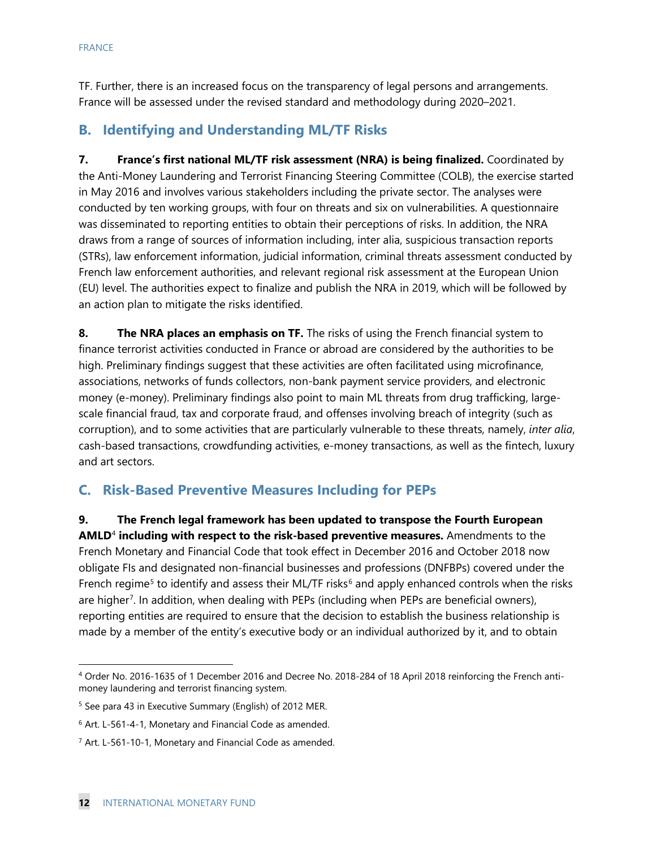TF. Further, there is an increased focus on the transparency of legal persons and arrangements. France will be assessed under the revised standard and methodology during 2020–2021.

## **B. Identifying and Understanding ML/TF Risks**

**7. France's first national ML/TF risk assessment (NRA) is being finalized.** Coordinated by the Anti-Money Laundering and Terrorist Financing Steering Committee (COLB), the exercise started in May 2016 and involves various stakeholders including the private sector. The analyses were conducted by ten working groups, with four on threats and six on vulnerabilities. A questionnaire was disseminated to reporting entities to obtain their perceptions of risks. In addition, the NRA draws from a range of sources of information including, inter alia, suspicious transaction reports (STRs), law enforcement information, judicial information, criminal threats assessment conducted by French law enforcement authorities, and relevant regional risk assessment at the European Union (EU) level. The authorities expect to finalize and publish the NRA in 2019, which will be followed by an action plan to mitigate the risks identified.

**8. The NRA places an emphasis on TF.** The risks of using the French financial system to finance terrorist activities conducted in France or abroad are considered by the authorities to be high. Preliminary findings suggest that these activities are often facilitated using microfinance, associations, networks of funds collectors, non-bank payment service providers, and electronic money (e-money). Preliminary findings also point to main ML threats from drug trafficking, largescale financial fraud, tax and corporate fraud, and offenses involving breach of integrity (such as corruption), and to some activities that are particularly vulnerable to these threats, namely, *inter alia*, cash-based transactions, crowdfunding activities, e-money transactions, as well as the fintech, luxury and art sectors.

### **C. Risk-Based Preventive Measures Including for PEPs**

**9. The French legal framework has been updated to transpose the Fourth European AMLD**[4](#page-12-0) **including with respect to the risk-based preventive measures.** Amendments to the French Monetary and Financial Code that took effect in December 2016 and October 2018 now obligate FIs and designated non-financial businesses and professions (DNFBPs) covered under the French regime<sup>[5](#page-12-1)</sup> to identify and assess their ML/TF risks<sup>[6](#page-12-2)</sup> and apply enhanced controls when the risks are higher<sup>7</sup>. In addition, when dealing with PEPs (including when PEPs are beneficial owners), reporting entities are required to ensure that the decision to establish the business relationship is made by a member of the entity's executive body or an individual authorized by it, and to obtain

<span id="page-12-0"></span> <sup>4</sup> Order No. 2016-1635 of 1 December 2016 and Decree No. 2018-284 of 18 April 2018 reinforcing the French antimoney laundering and terrorist financing system.

<span id="page-12-1"></span><sup>5</sup> See para 43 in Executive Summary (English) of 2012 MER.

<span id="page-12-2"></span><sup>6</sup> Art. L-561-4-1, Monetary and Financial Code as amended.

<span id="page-12-3"></span><sup>7</sup> Art. L-561-10-1, Monetary and Financial Code as amended.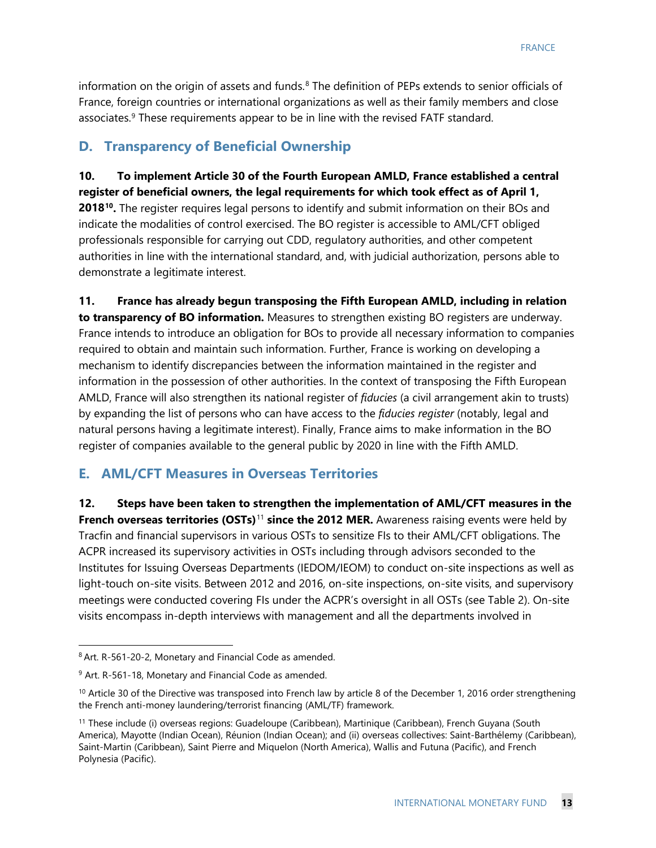information on the origin of assets and funds.<sup>[8](#page-13-0)</sup> The definition of PEPs extends to senior officials of France, foreign countries or international organizations as well as their family members and close associates.<sup>[9](#page-13-1)</sup> These requirements appear to be in line with the revised FATF standard.

#### **D. Transparency of Beneficial Ownership**

**10. To implement Article 30 of the Fourth European AMLD, France established a central register of beneficial owners, the legal requirements for which took effect as of April 1, 2018[10.](#page-13-2)** The register requires legal persons to identify and submit information on their BOs and indicate the modalities of control exercised. The BO register is accessible to AML/CFT obliged professionals responsible for carrying out CDD, regulatory authorities, and other competent authorities in line with the international standard, and, with judicial authorization, persons able to demonstrate a legitimate interest.

**11. France has already begun transposing the Fifth European AMLD, including in relation to transparency of BO information.** Measures to strengthen existing BO registers are underway. France intends to introduce an obligation for BOs to provide all necessary information to companies required to obtain and maintain such information. Further, France is working on developing a mechanism to identify discrepancies between the information maintained in the register and information in the possession of other authorities. In the context of transposing the Fifth European AMLD, France will also strengthen its national register of *fiducies* (a civil arrangement akin to trusts) by expanding the list of persons who can have access to the *fiducies register* (notably, legal and natural persons having a legitimate interest). Finally, France aims to make information in the BO register of companies available to the general public by 2020 in line with the Fifth AMLD.

#### **E. AML/CFT Measures in Overseas Territories**

**12. Steps have been taken to strengthen the implementation of AML/CFT measures in the French overseas territories (OSTs)**[11](#page-13-3) **since the 2012 MER.** Awareness raising events were held by Tracfin and financial supervisors in various OSTs to sensitize FIs to their AML/CFT obligations. The ACPR increased its supervisory activities in OSTs including through advisors seconded to the Institutes for Issuing Overseas Departments (IEDOM/IEOM) to conduct on-site inspections as well as light-touch on-site visits. Between 2012 and 2016, on-site inspections, on-site visits, and supervisory meetings were conducted covering FIs under the ACPR's oversight in all OSTs (see Table 2). On-site visits encompass in-depth interviews with management and all the departments involved in

<span id="page-13-0"></span> <sup>8</sup> Art. R-561-20-2, Monetary and Financial Code as amended.

<span id="page-13-1"></span><sup>&</sup>lt;sup>9</sup> Art. R-561-18, Monetary and Financial Code as amended.

<span id="page-13-2"></span> $10$  Article 30 of the Directive was transposed into French law by article 8 of the December 1, 2016 order strengthening the French anti-money laundering/terrorist financing (AML/TF) framework.

<span id="page-13-3"></span><sup>&</sup>lt;sup>11</sup> These include (i) overseas regions: Guadeloupe (Caribbean), Martinique (Caribbean), French Guyana (South America), Mayotte (Indian Ocean), Réunion (Indian Ocean); and (ii) overseas collectives: Saint-Barthélemy (Caribbean), Saint-Martin (Caribbean), Saint Pierre and Miquelon (North America), Wallis and Futuna (Pacific), and French Polynesia (Pacific).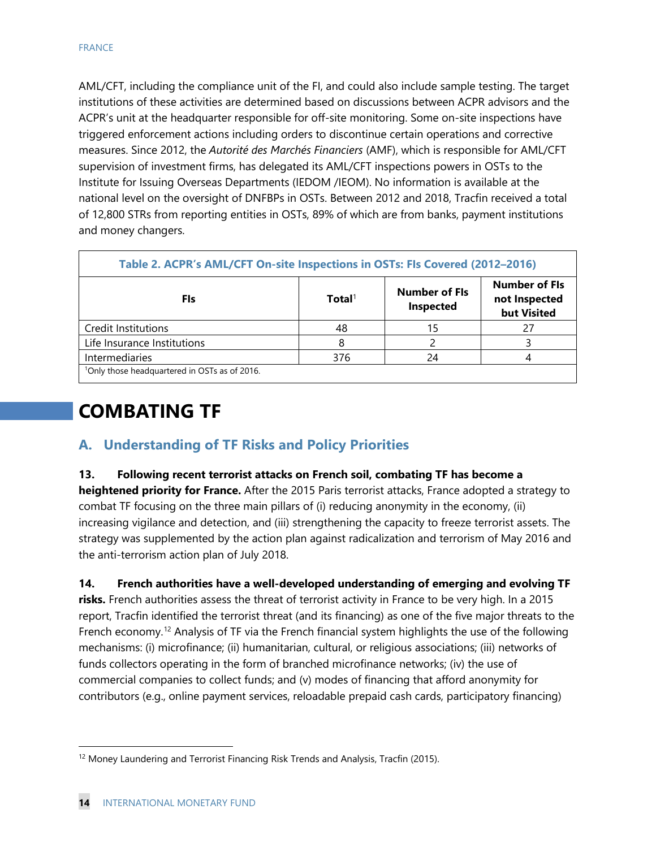AML/CFT, including the compliance unit of the FI, and could also include sample testing. The target institutions of these activities are determined based on discussions between ACPR advisors and the ACPR's unit at the headquarter responsible for off-site monitoring. Some on-site inspections have triggered enforcement actions including orders to discontinue certain operations and corrective measures. Since 2012, the *Autorité des Marchés Financiers* (AMF), which is responsible for AML/CFT supervision of investment firms, has delegated its AML/CFT inspections powers in OSTs to the Institute for Issuing Overseas Departments (IEDOM /IEOM). No information is available at the national level on the oversight of DNFBPs in OSTs. Between 2012 and 2018, Tracfin received a total of 12,800 STRs from reporting entities in OSTs, 89% of which are from banks, payment institutions and money changers.

| Table 2. ACPR's AML/CFT On-site Inspections in OSTs: FIs Covered (2012-2016) |                    |                                   |                                                      |
|------------------------------------------------------------------------------|--------------------|-----------------------------------|------------------------------------------------------|
| Fls                                                                          | Total <sup>1</sup> | <b>Number of Fls</b><br>Inspected | <b>Number of Fls</b><br>not Inspected<br>but Visited |
| Credit Institutions                                                          | 48                 |                                   |                                                      |
| Life Insurance Institutions                                                  |                    |                                   |                                                      |
| Intermediaries                                                               | 376                | 24                                |                                                      |
| <sup>1</sup> Only those headquartered in OSTs as of 2016.                    |                    |                                   |                                                      |

# **COMBATING TF**

## **A. Understanding of TF Risks and Policy Priorities**

#### **13. Following recent terrorist attacks on French soil, combating TF has become a**

**heightened priority for France.** After the 2015 Paris terrorist attacks, France adopted a strategy to combat TF focusing on the three main pillars of (i) reducing anonymity in the economy, (ii) increasing vigilance and detection, and (iii) strengthening the capacity to freeze terrorist assets. The strategy was supplemented by the action plan against radicalization and terrorism of May 2016 and the anti-terrorism action plan of July 2018.

**14. French authorities have a well-developed understanding of emerging and evolving TF** 

**risks.** French authorities assess the threat of terrorist activity in France to be very high. In a 2015 report, Tracfin identified the terrorist threat (and its financing) as one of the five major threats to the French economy.<sup>[12](#page-14-0)</sup> Analysis of TF via the French financial system highlights the use of the following mechanisms: (i) microfinance; (ii) humanitarian, cultural, or religious associations; (iii) networks of funds collectors operating in the form of branched microfinance networks; (iv) the use of commercial companies to collect funds; and (v) modes of financing that afford anonymity for contributors (e.g., online payment services, reloadable prepaid cash cards, participatory financing)

<span id="page-14-0"></span><sup>&</sup>lt;sup>12</sup> Money Laundering and Terrorist Financing Risk Trends and Analysis, Tracfin (2015).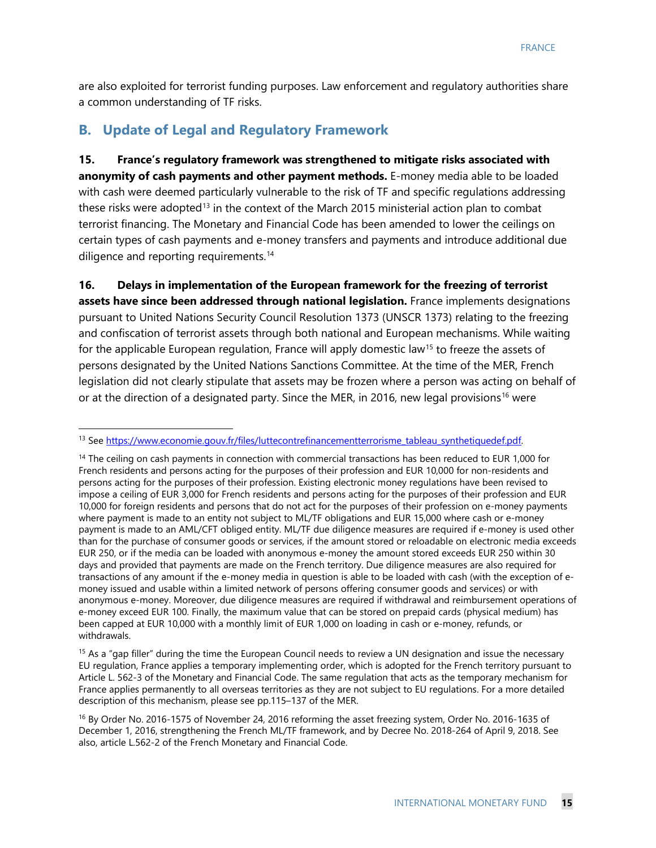are also exploited for terrorist funding purposes. Law enforcement and regulatory authorities share a common understanding of TF risks.

#### **B. Update of Legal and Regulatory Framework**

**15. France's regulatory framework was strengthened to mitigate risks associated with anonymity of cash payments and other payment methods.** E-money media able to be loaded with cash were deemed particularly vulnerable to the risk of TF and specific regulations addressing these risks were adopted<sup>[13](#page-15-0)</sup> in the context of the March 2015 ministerial action plan to combat terrorist financing. The Monetary and Financial Code has been amended to lower the ceilings on certain types of cash payments and e-money transfers and payments and introduce additional due diligence and reporting requirements.<sup>[14](#page-15-1)</sup>

**16. Delays in implementation of the European framework for the freezing of terrorist assets have since been addressed through national legislation.** France implements designations pursuant to United Nations Security Council Resolution 1373 (UNSCR 1373) relating to the freezing and confiscation of terrorist assets through both national and European mechanisms. While waiting for the applicable European regulation, France will apply domestic law<sup>15</sup> to freeze the assets of persons designated by the United Nations Sanctions Committee. At the time of the MER, French legislation did not clearly stipulate that assets may be frozen where a person was acting on behalf of or at the direction of a designated party. Since the MER, in 20[16](#page-15-3), new legal provisions<sup>16</sup> were

<span id="page-15-0"></span><sup>&</sup>lt;sup>13</sup> See https://www.economie.gouv.fr/files/luttecontrefinancementterrorisme\_tableau\_synthetiquedef.pdf.

<span id="page-15-1"></span><sup>&</sup>lt;sup>14</sup> The ceiling on cash payments in connection with commercial transactions has been reduced to EUR 1,000 for French residents and persons acting for the purposes of their profession and EUR 10,000 for non-residents and persons acting for the purposes of their profession. Existing electronic money regulations have been revised to impose a ceiling of EUR 3,000 for French residents and persons acting for the purposes of their profession and EUR 10,000 for foreign residents and persons that do not act for the purposes of their profession on e-money payments where payment is made to an entity not subject to ML/TF obligations and EUR 15,000 where cash or e-money payment is made to an AML/CFT obliged entity. ML/TF due diligence measures are required if e-money is used other than for the purchase of consumer goods or services, if the amount stored or reloadable on electronic media exceeds EUR 250, or if the media can be loaded with anonymous e-money the amount stored exceeds EUR 250 within 30 days and provided that payments are made on the French territory. Due diligence measures are also required for transactions of any amount if the e-money media in question is able to be loaded with cash (with the exception of emoney issued and usable within a limited network of persons offering consumer goods and services) or with anonymous e-money. Moreover, due diligence measures are required if withdrawal and reimbursement operations of e-money exceed EUR 100. Finally, the maximum value that can be stored on prepaid cards (physical medium) has been capped at EUR 10,000 with a monthly limit of EUR 1,000 on loading in cash or e-money, refunds, or withdrawals.

<span id="page-15-2"></span> $15$  As a "gap filler" during the time the European Council needs to review a UN designation and issue the necessary EU regulation, France applies a temporary implementing order, which is adopted for the French territory pursuant to Article L. 562-3 of the Monetary and Financial Code. The same regulation that acts as the temporary mechanism for France applies permanently to all overseas territories as they are not subject to EU regulations. For a more detailed description of this mechanism, please see pp.115–137 of the MER.

<span id="page-15-3"></span><sup>16</sup> By Order No. 2016-1575 of November 24, 2016 reforming the asset freezing system, Order No. 2016-1635 of December 1, 2016, strengthening the French ML/TF framework, and by Decree No. 2018-264 of April 9, 2018. See also, article L.562-2 of the French Monetary and Financial Code.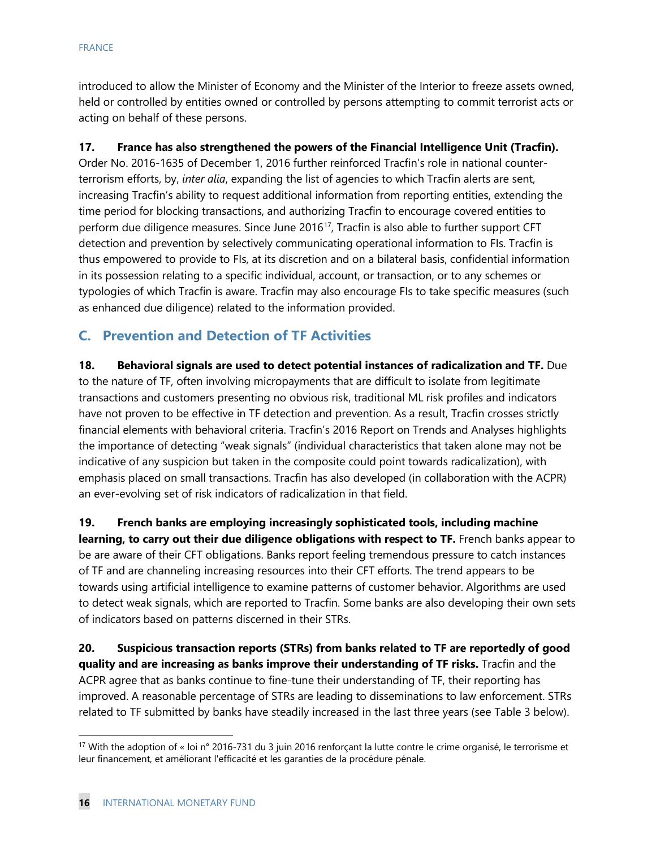introduced to allow the Minister of Economy and the Minister of the Interior to freeze assets owned, held or controlled by entities owned or controlled by persons attempting to commit terrorist acts or acting on behalf of these persons.

#### **17. France has also strengthened the powers of the Financial Intelligence Unit (Tracfin).**

Order No. 2016-1635 of December 1, 2016 further reinforced Tracfin's role in national counterterrorism efforts, by, *inter alia*, expanding the list of agencies to which Tracfin alerts are sent, increasing Tracfin's ability to request additional information from reporting entities, extending the time period for blocking transactions, and authorizing Tracfin to encourage covered entities to perform due diligence measures. Since June 2016[17](#page-16-0), Tracfin is also able to further support CFT detection and prevention by selectively communicating operational information to FIs. Tracfin is thus empowered to provide to FIs, at its discretion and on a bilateral basis, confidential information in its possession relating to a specific individual, account, or transaction, or to any schemes or typologies of which Tracfin is aware. Tracfin may also encourage FIs to take specific measures (such as enhanced due diligence) related to the information provided.

## **C. Prevention and Detection of TF Activities**

**18. Behavioral signals are used to detect potential instances of radicalization and TF.** Due to the nature of TF, often involving micropayments that are difficult to isolate from legitimate transactions and customers presenting no obvious risk, traditional ML risk profiles and indicators have not proven to be effective in TF detection and prevention. As a result, Tracfin crosses strictly financial elements with behavioral criteria. Tracfin's 2016 Report on Trends and Analyses highlights the importance of detecting "weak signals" (individual characteristics that taken alone may not be indicative of any suspicion but taken in the composite could point towards radicalization), with emphasis placed on small transactions. Tracfin has also developed (in collaboration with the ACPR) an ever-evolving set of risk indicators of radicalization in that field.

**19. French banks are employing increasingly sophisticated tools, including machine learning, to carry out their due diligence obligations with respect to TF.** French banks appear to be are aware of their CFT obligations. Banks report feeling tremendous pressure to catch instances of TF and are channeling increasing resources into their CFT efforts. The trend appears to be towards using artificial intelligence to examine patterns of customer behavior. Algorithms are used to detect weak signals, which are reported to Tracfin. Some banks are also developing their own sets of indicators based on patterns discerned in their STRs.

**20. Suspicious transaction reports (STRs) from banks related to TF are reportedly of good quality and are increasing as banks improve their understanding of TF risks.** Tracfin and the ACPR agree that as banks continue to fine-tune their understanding of TF, their reporting has improved. A reasonable percentage of STRs are leading to disseminations to law enforcement. STRs related to TF submitted by banks have steadily increased in the last three years (see Table 3 below).

<span id="page-16-0"></span><sup>&</sup>lt;sup>17</sup> With the adoption of « loi n° 2016-731 du 3 juin 2016 renforçant la lutte contre le crime organisé, le terrorisme et leur financement, et améliorant l'efficacité et les garanties de la procédure pénale.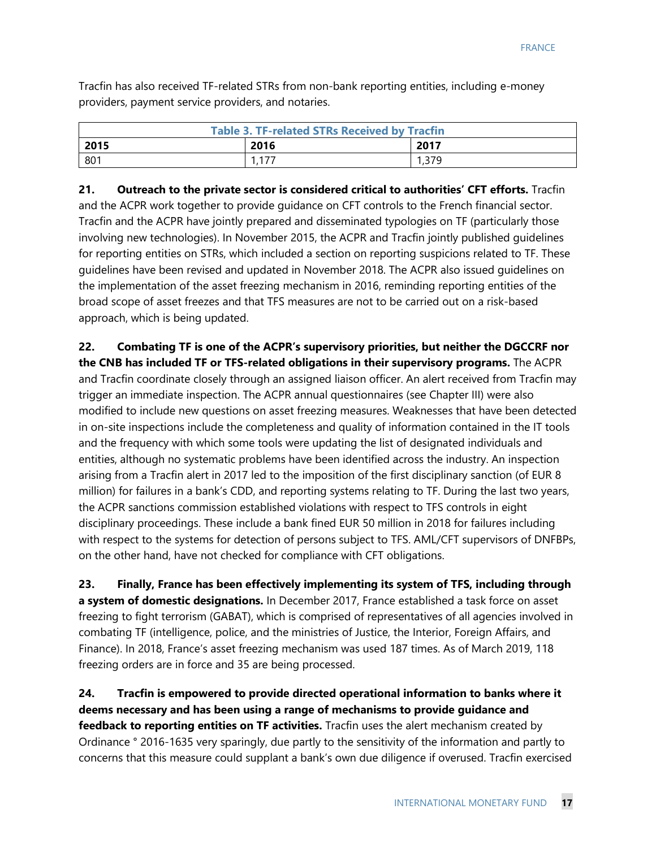Tracfin has also received TF-related STRs from non-bank reporting entities, including e-money providers, payment service providers, and notaries.

| <b>Table 3. TF-related STRs Received by Tracfin</b> |         |       |  |
|-----------------------------------------------------|---------|-------|--|
| 2015                                                | 2016    | 2017  |  |
| 801                                                 | 1 1 7 7 | 379،، |  |

**21. Outreach to the private sector is considered critical to authorities' CFT efforts.** Tracfin and the ACPR work together to provide guidance on CFT controls to the French financial sector. Tracfin and the ACPR have jointly prepared and disseminated typologies on TF (particularly those involving new technologies). In November 2015, the ACPR and Tracfin jointly published guidelines for reporting entities on STRs, which included a section on reporting suspicions related to TF. These guidelines have been revised and updated in November 2018. The ACPR also issued guidelines on the implementation of the asset freezing mechanism in 2016, reminding reporting entities of the broad scope of asset freezes and that TFS measures are not to be carried out on a risk-based approach, which is being updated.

**22. Combating TF is one of the ACPR's supervisory priorities, but neither the DGCCRF nor the CNB has included TF or TFS-related obligations in their supervisory programs.** The ACPR and Tracfin coordinate closely through an assigned liaison officer. An alert received from Tracfin may trigger an immediate inspection. The ACPR annual questionnaires (see Chapter III) were also modified to include new questions on asset freezing measures. Weaknesses that have been detected in on-site inspections include the completeness and quality of information contained in the IT tools

and the frequency with which some tools were updating the list of designated individuals and entities, although no systematic problems have been identified across the industry. An inspection arising from a Tracfin alert in 2017 led to the imposition of the first disciplinary sanction (of EUR 8 million) for failures in a bank's CDD, and reporting systems relating to TF. During the last two years, the ACPR sanctions commission established violations with respect to TFS controls in eight disciplinary proceedings. These include a bank fined EUR 50 million in 2018 for failures including with respect to the systems for detection of persons subject to TFS. AML/CFT supervisors of DNFBPs, on the other hand, have not checked for compliance with CFT obligations.

**23. Finally, France has been effectively implementing its system of TFS, including through a system of domestic designations.** In December 2017, France established a task force on asset freezing to fight terrorism (GABAT), which is comprised of representatives of all agencies involved in combating TF (intelligence, police, and the ministries of Justice, the Interior, Foreign Affairs, and Finance). In 2018, France's asset freezing mechanism was used 187 times. As of March 2019, 118 freezing orders are in force and 35 are being processed.

**24. Tracfin is empowered to provide directed operational information to banks where it deems necessary and has been using a range of mechanisms to provide guidance and feedback to reporting entities on TF activities.** Tracfin uses the alert mechanism created by Ordinance ° 2016-1635 very sparingly, due partly to the sensitivity of the information and partly to concerns that this measure could supplant a bank's own due diligence if overused. Tracfin exercised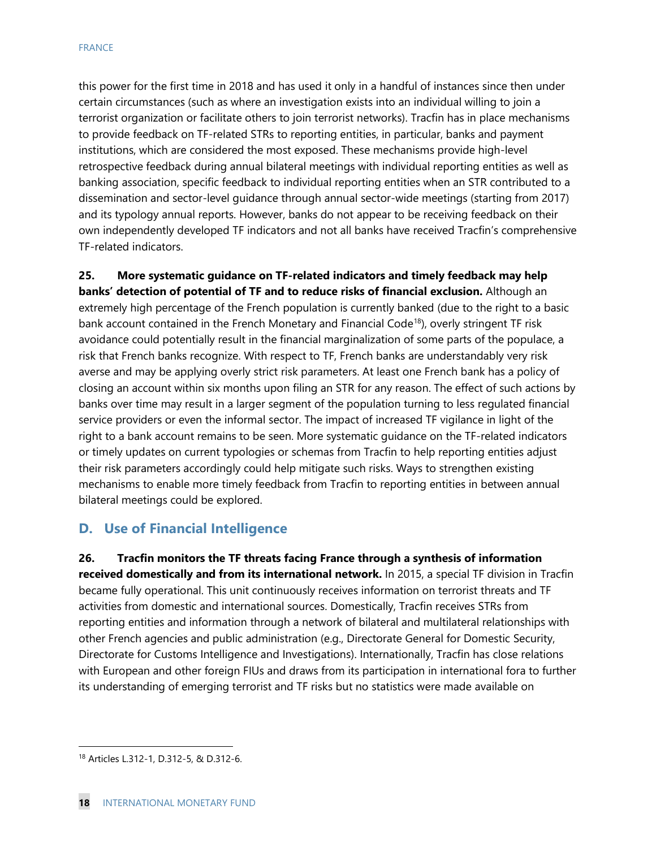this power for the first time in 2018 and has used it only in a handful of instances since then under certain circumstances (such as where an investigation exists into an individual willing to join a terrorist organization or facilitate others to join terrorist networks). Tracfin has in place mechanisms to provide feedback on TF-related STRs to reporting entities, in particular, banks and payment institutions, which are considered the most exposed. These mechanisms provide high-level retrospective feedback during annual bilateral meetings with individual reporting entities as well as banking association, specific feedback to individual reporting entities when an STR contributed to a dissemination and sector-level guidance through annual sector-wide meetings (starting from 2017) and its typology annual reports. However, banks do not appear to be receiving feedback on their own independently developed TF indicators and not all banks have received Tracfin's comprehensive TF-related indicators.

**25. More systematic guidance on TF-related indicators and timely feedback may help banks' detection of potential of TF and to reduce risks of financial exclusion.** Although an extremely high percentage of the French population is currently banked (due to the right to a basic bank account contained in the French Monetary and Financial Code<sup>[18](#page-18-0)</sup>), overly stringent TF risk avoidance could potentially result in the financial marginalization of some parts of the populace, a risk that French banks recognize. With respect to TF, French banks are understandably very risk averse and may be applying overly strict risk parameters. At least one French bank has a policy of closing an account within six months upon filing an STR for any reason. The effect of such actions by banks over time may result in a larger segment of the population turning to less regulated financial service providers or even the informal sector. The impact of increased TF vigilance in light of the right to a bank account remains to be seen. More systematic guidance on the TF-related indicators or timely updates on current typologies or schemas from Tracfin to help reporting entities adjust their risk parameters accordingly could help mitigate such risks. Ways to strengthen existing mechanisms to enable more timely feedback from Tracfin to reporting entities in between annual bilateral meetings could be explored.

#### **D. Use of Financial Intelligence**

**26. Tracfin monitors the TF threats facing France through a synthesis of information received domestically and from its international network.** In 2015, a special TF division in Tracfin became fully operational. This unit continuously receives information on terrorist threats and TF activities from domestic and international sources. Domestically, Tracfin receives STRs from reporting entities and information through a network of bilateral and multilateral relationships with other French agencies and public administration (e.g., Directorate General for Domestic Security, Directorate for Customs Intelligence and Investigations). Internationally, Tracfin has close relations with European and other foreign FIUs and draws from its participation in international fora to further its understanding of emerging terrorist and TF risks but no statistics were made available on

<span id="page-18-0"></span> <sup>18</sup> Articles L.312-1, D.312-5, & D.312-6.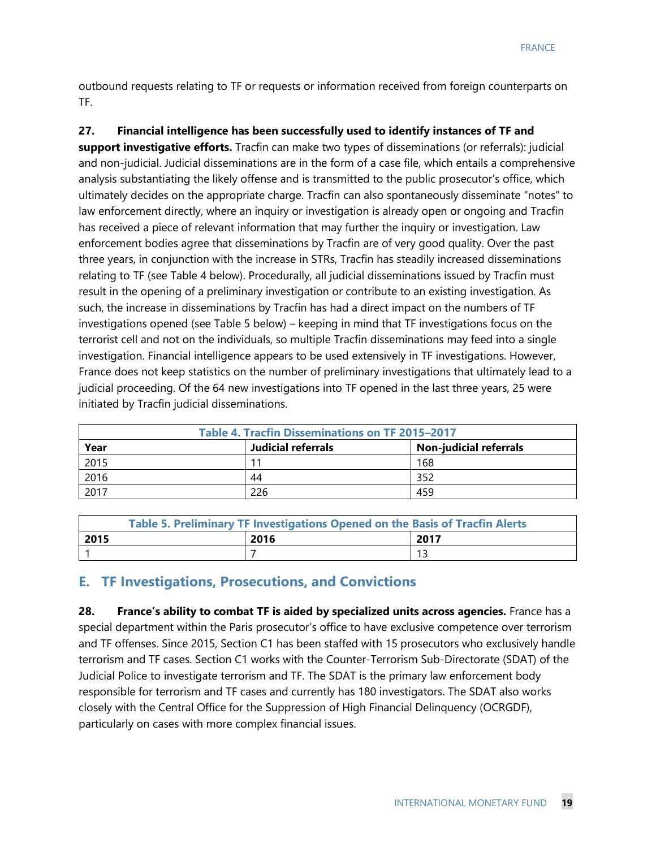outbound requests relating to TF or requests or information received from foreign counterparts on TF.

**27. Financial intelligence has been successfully used to identify instances of TF and support investigative efforts.** Tracfin can make two types of disseminations (or referrals): judicial and non-judicial. Judicial disseminations are in the form of a case file, which entails a comprehensive analysis substantiating the likely offense and is transmitted to the public prosecutor's office, which ultimately decides on the appropriate charge. Tracfin can also spontaneously disseminate "notes" to law enforcement directly, where an inquiry or investigation is already open or ongoing and Tracfin has received a piece of relevant information that may further the inquiry or investigation. Law enforcement bodies agree that disseminations by Tracfin are of very good quality. Over the past three years, in conjunction with the increase in STRs, Tracfin has steadily increased disseminations relating to TF (see Table 4 below). Procedurally, all judicial disseminations issued by Tracfin must result in the opening of a preliminary investigation or contribute to an existing investigation. As such, the increase in disseminations by Tracfin has had a direct impact on the numbers of TF investigations opened (see Table 5 below) – keeping in mind that TF investigations focus on the terrorist cell and not on the individuals, so multiple Tracfin disseminations may feed into a single investigation. Financial intelligence appears to be used extensively in TF investigations. However, France does not keep statistics on the number of preliminary investigations that ultimately lead to a judicial proceeding. Of the 64 new investigations into TF opened in the last three years, 25 were initiated by Tracfin judicial disseminations.

| Table 4. Tracfin Disseminations on TF 2015-2017             |     |     |  |  |
|-------------------------------------------------------------|-----|-----|--|--|
| <b>Non-judicial referrals</b><br>Judicial referrals<br>Year |     |     |  |  |
| 2015                                                        | 11  | 168 |  |  |
| 2016                                                        | 44  | 352 |  |  |
| 2017                                                        | 226 | 459 |  |  |

| Table 5. Preliminary TF Investigations Opened on the Basis of Tracfin Alerts |      |      |  |
|------------------------------------------------------------------------------|------|------|--|
| 2015                                                                         | 2016 | 2017 |  |
|                                                                              |      |      |  |

#### **E. TF Investigations, Prosecutions, and Convictions**

**28. France's ability to combat TF is aided by specialized units across agencies.** France has a special department within the Paris prosecutor's office to have exclusive competence over terrorism and TF offenses. Since 2015, Section C1 has been staffed with 15 prosecutors who exclusively handle terrorism and TF cases. Section C1 works with the Counter-Terrorism Sub-Directorate (SDAT) of the Judicial Police to investigate terrorism and TF. The SDAT is the primary law enforcement body responsible for terrorism and TF cases and currently has 180 investigators. The SDAT also works closely with the Central Office for the Suppression of High Financial Delinquency (OCRGDF), particularly on cases with more complex financial issues.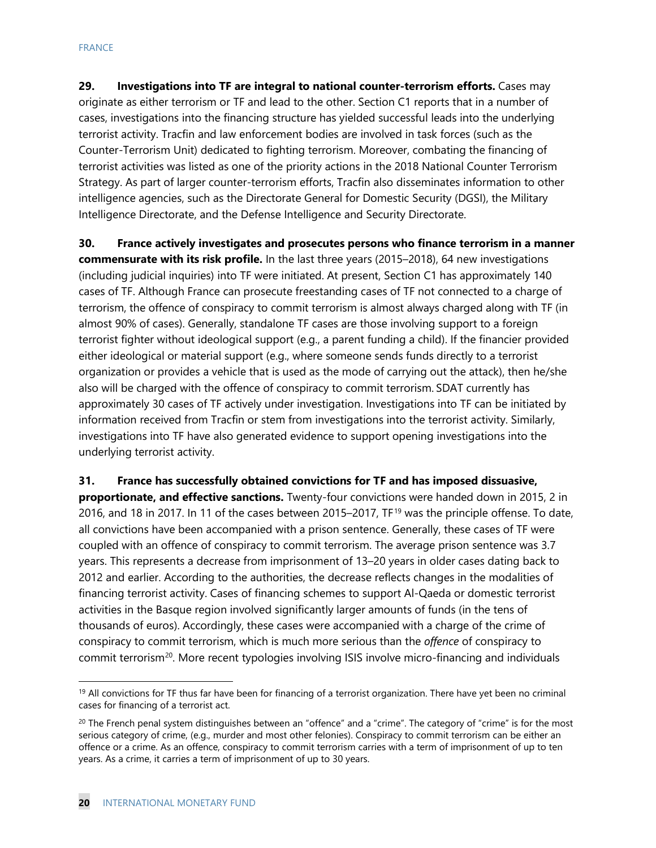**29. Investigations into TF are integral to national counter-terrorism efforts.** Cases may originate as either terrorism or TF and lead to the other. Section C1 reports that in a number of cases, investigations into the financing structure has yielded successful leads into the underlying terrorist activity. Tracfin and law enforcement bodies are involved in task forces (such as the Counter-Terrorism Unit) dedicated to fighting terrorism. Moreover, combating the financing of terrorist activities was listed as one of the priority actions in the 2018 National Counter Terrorism Strategy. As part of larger counter-terrorism efforts, Tracfin also disseminates information to other intelligence agencies, such as the Directorate General for Domestic Security (DGSI), the Military Intelligence Directorate, and the Defense Intelligence and Security Directorate.

**30. France actively investigates and prosecutes persons who finance terrorism in a manner commensurate with its risk profile.** In the last three years (2015–2018), 64 new investigations (including judicial inquiries) into TF were initiated. At present, Section C1 has approximately 140 cases of TF. Although France can prosecute freestanding cases of TF not connected to a charge of terrorism, the offence of conspiracy to commit terrorism is almost always charged along with TF (in almost 90% of cases). Generally, standalone TF cases are those involving support to a foreign terrorist fighter without ideological support (e.g., a parent funding a child). If the financier provided either ideological or material support (e.g., where someone sends funds directly to a terrorist organization or provides a vehicle that is used as the mode of carrying out the attack), then he/she also will be charged with the offence of conspiracy to commit terrorism. SDAT currently has approximately 30 cases of TF actively under investigation. Investigations into TF can be initiated by information received from Tracfin or stem from investigations into the terrorist activity. Similarly, investigations into TF have also generated evidence to support opening investigations into the underlying terrorist activity.

**31. France has successfully obtained convictions for TF and has imposed dissuasive, proportionate, and effective sanctions.** Twenty-four convictions were handed down in 2015, 2 in 2016, and 18 in 2017. In 11 of the cases between 2015–2017, TF<sup>[19](#page-20-0)</sup> was the principle offense. To date, all convictions have been accompanied with a prison sentence. Generally, these cases of TF were coupled with an offence of conspiracy to commit terrorism. The average prison sentence was 3.7 years. This represents a decrease from imprisonment of 13–20 years in older cases dating back to 2012 and earlier. According to the authorities, the decrease reflects changes in the modalities of financing terrorist activity. Cases of financing schemes to support Al-Qaeda or domestic terrorist activities in the Basque region involved significantly larger amounts of funds (in the tens of thousands of euros). Accordingly, these cases were accompanied with a charge of the crime of conspiracy to commit terrorism, which is much more serious than the *offence* of conspiracy to commit terrorism<sup>[20](#page-20-1)</sup>. More recent typologies involving ISIS involve micro-financing and individuals

<span id="page-20-0"></span> $19$  All convictions for TF thus far have been for financing of a terrorist organization. There have yet been no criminal cases for financing of a terrorist act.

<span id="page-20-1"></span> $20$  The French penal system distinguishes between an "offence" and a "crime". The category of "crime" is for the most serious category of crime, (e.g., murder and most other felonies). Conspiracy to commit terrorism can be either an offence or a crime. As an offence, conspiracy to commit terrorism carries with a term of imprisonment of up to ten years. As a crime, it carries a term of imprisonment of up to 30 years.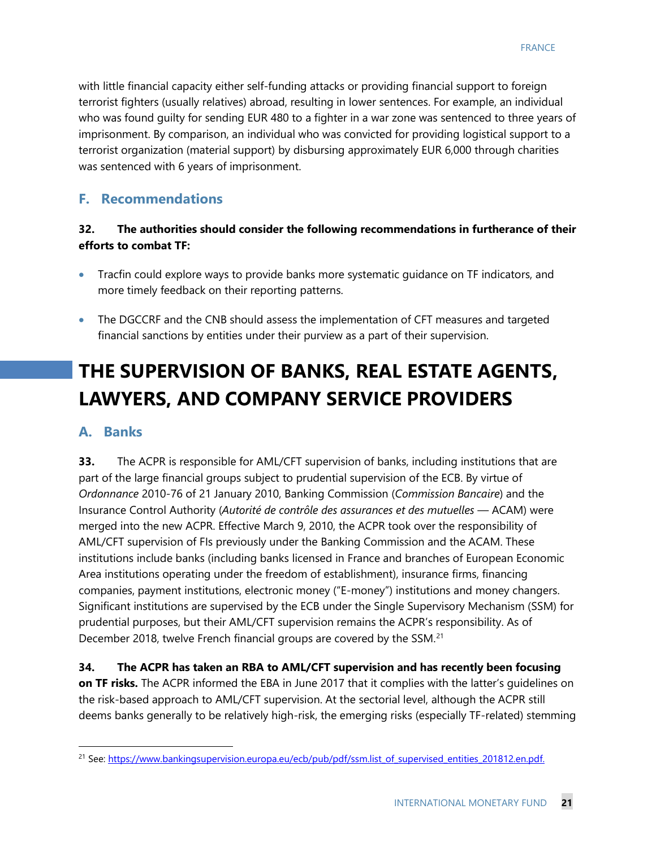with little financial capacity either self-funding attacks or providing financial support to foreign terrorist fighters (usually relatives) abroad, resulting in lower sentences. For example, an individual who was found guilty for sending EUR 480 to a fighter in a war zone was sentenced to three years of imprisonment. By comparison, an individual who was convicted for providing logistical support to a terrorist organization (material support) by disbursing approximately EUR 6,000 through charities was sentenced with 6 years of imprisonment.

#### **F. Recommendations**

#### **32. The authorities should consider the following recommendations in furtherance of their efforts to combat TF:**

- Tracfin could explore ways to provide banks more systematic guidance on TF indicators, and more timely feedback on their reporting patterns.
- The DGCCRF and the CNB should assess the implementation of CFT measures and targeted financial sanctions by entities under their purview as a part of their supervision.

# **THE SUPERVISION OF BANKS, REAL ESTATE AGENTS, LAWYERS, AND COMPANY SERVICE PROVIDERS**

#### **A. Banks**

**33.** The ACPR is responsible for AML/CFT supervision of banks, including institutions that are part of the large financial groups subject to prudential supervision of the ECB. By virtue of *Ordonnance* 2010-76 of 21 January 2010, Banking Commission (*Commission Bancaire*) and the Insurance Control Authority (*Autorité de contrôle des assurances et des mutuelles* — ACAM) were merged into the new ACPR. Effective March 9, 2010, the ACPR took over the responsibility of AML/CFT supervision of FIs previously under the Banking Commission and the ACAM. These institutions include banks (including banks licensed in France and branches of European Economic Area institutions operating under the freedom of establishment), insurance firms, financing companies, payment institutions, electronic money ("E-money") institutions and money changers. Significant institutions are supervised by the ECB under the Single Supervisory Mechanism (SSM) for prudential purposes, but their AML/CFT supervision remains the ACPR's responsibility. As of December 2018, twelve French financial groups are covered by the SSM.<sup>[21](#page-21-0)</sup>

**34. The ACPR has taken an RBA to AML/CFT supervision and has recently been focusing on TF risks.** The ACPR informed the EBA in June 2017 that it complies with the latter's guidelines on the risk-based approach to AML/CFT supervision. At the sectorial level, although the ACPR still deems banks generally to be relatively high-risk, the emerging risks (especially TF-related) stemming

<span id="page-21-0"></span><sup>&</sup>lt;sup>21</sup> See: [https://www.bankingsupervision.europa.eu/ecb/pub/pdf/ssm.list\\_of\\_supervised\\_entities\\_201812.en.pdf.](https://www.bankingsupervision.europa.eu/ecb/pub/pdf/ssm.list_of_supervised_entities_201812.en.pdf)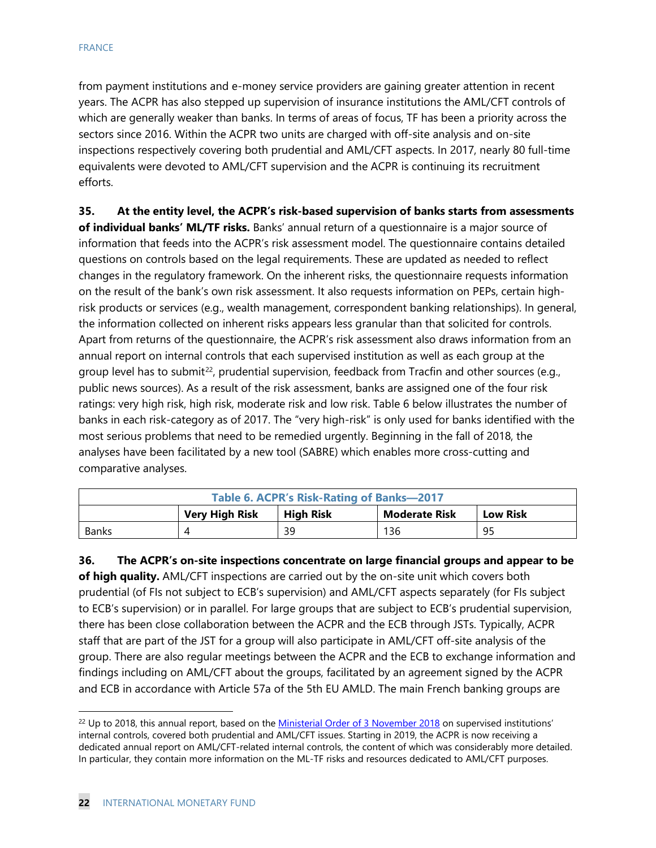from payment institutions and e-money service providers are gaining greater attention in recent years. The ACPR has also stepped up supervision of insurance institutions the AML/CFT controls of which are generally weaker than banks. In terms of areas of focus, TF has been a priority across the sectors since 2016. Within the ACPR two units are charged with off-site analysis and on-site inspections respectively covering both prudential and AML/CFT aspects. In 2017, nearly 80 full-time equivalents were devoted to AML/CFT supervision and the ACPR is continuing its recruitment efforts.

**35. At the entity level, the ACPR's risk-based supervision of banks starts from assessments of individual banks' ML/TF risks.** Banks' annual return of a questionnaire is a major source of information that feeds into the ACPR's risk assessment model. The questionnaire contains detailed questions on controls based on the legal requirements. These are updated as needed to reflect changes in the regulatory framework. On the inherent risks, the questionnaire requests information on the result of the bank's own risk assessment. It also requests information on PEPs, certain highrisk products or services (e.g., wealth management, correspondent banking relationships). In general, the information collected on inherent risks appears less granular than that solicited for controls. Apart from returns of the questionnaire, the ACPR's risk assessment also draws information from an annual report on internal controls that each supervised institution as well as each group at the group level has to submit<sup>22</sup>, prudential supervision, feedback from Tracfin and other sources (e.g., public news sources). As a result of the risk assessment, banks are assigned one of the four risk ratings: very high risk, high risk, moderate risk and low risk. Table 6 below illustrates the number of banks in each risk-category as of 2017. The "very high-risk" is only used for banks identified with the most serious problems that need to be remedied urgently. Beginning in the fall of 2018, the analyses have been facilitated by a new tool (SABRE) which enables more cross-cutting and comparative analyses.

| Table 6. ACPR's Risk-Rating of Banks-2017                                     |  |    |     |    |
|-------------------------------------------------------------------------------|--|----|-----|----|
| <b>Very High Risk</b><br><b>High Risk</b><br>Moderate Risk<br><b>Low Risk</b> |  |    |     |    |
| Banks                                                                         |  | 39 | 136 | 95 |

**36. The ACPR's on-site inspections concentrate on large financial groups and appear to be of high quality.** AML/CFT inspections are carried out by the on-site unit which covers both prudential (of FIs not subject to ECB's supervision) and AML/CFT aspects separately (for FIs subject to ECB's supervision) or in parallel. For large groups that are subject to ECB's prudential supervision, there has been close collaboration between the ACPR and the ECB through JSTs. Typically, ACPR staff that are part of the JST for a group will also participate in AML/CFT off-site analysis of the group. There are also regular meetings between the ACPR and the ECB to exchange information and findings including on AML/CFT about the groups, facilitated by an agreement signed by the ACPR and ECB in accordance with Article 57a of the 5th EU AMLD. The main French banking groups are

<span id="page-22-0"></span> $22$  Up to 2018, this annual report, based on the [Ministerial Order of 3 November 2018](https://www.legifrance.gouv.fr/affichTexte.do?cidTexte=JORFTEXT000029700770&categorieLien=id) on supervised institutions' internal controls, covered both prudential and AML/CFT issues. Starting in 2019, the ACPR is now receiving a dedicated annual report on AML/CFT-related internal controls, the content of which was considerably more detailed. In particular, they contain more information on the ML-TF risks and resources dedicated to AML/CFT purposes.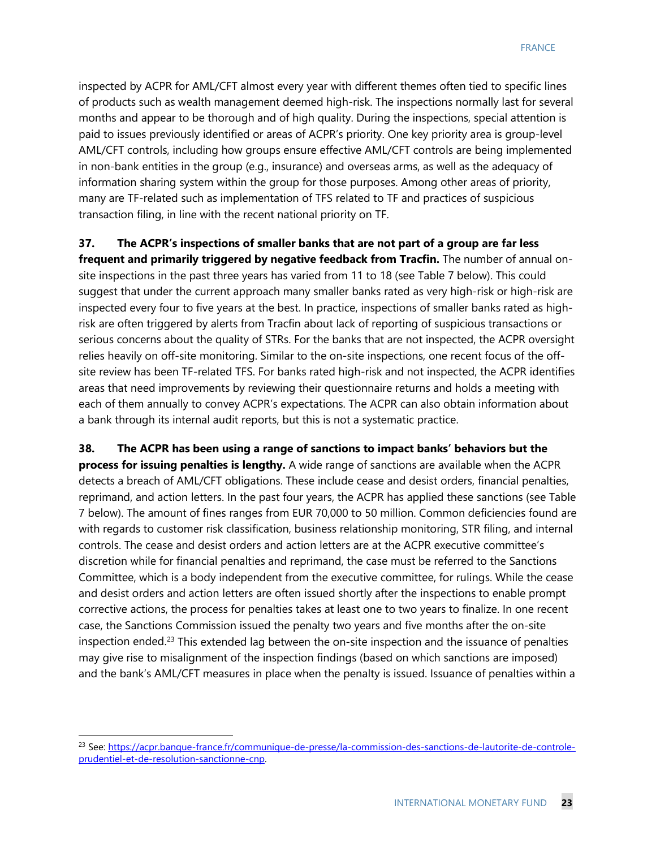inspected by ACPR for AML/CFT almost every year with different themes often tied to specific lines of products such as wealth management deemed high-risk. The inspections normally last for several months and appear to be thorough and of high quality. During the inspections, special attention is paid to issues previously identified or areas of ACPR's priority. One key priority area is group-level AML/CFT controls, including how groups ensure effective AML/CFT controls are being implemented in non-bank entities in the group (e.g., insurance) and overseas arms, as well as the adequacy of information sharing system within the group for those purposes. Among other areas of priority, many are TF-related such as implementation of TFS related to TF and practices of suspicious transaction filing, in line with the recent national priority on TF.

**37. The ACPR's inspections of smaller banks that are not part of a group are far less frequent and primarily triggered by negative feedback from Tracfin.** The number of annual onsite inspections in the past three years has varied from 11 to 18 (see Table 7 below). This could suggest that under the current approach many smaller banks rated as very high-risk or high-risk are inspected every four to five years at the best. In practice, inspections of smaller banks rated as highrisk are often triggered by alerts from Tracfin about lack of reporting of suspicious transactions or serious concerns about the quality of STRs. For the banks that are not inspected, the ACPR oversight relies heavily on off-site monitoring. Similar to the on-site inspections, one recent focus of the offsite review has been TF-related TFS. For banks rated high-risk and not inspected, the ACPR identifies areas that need improvements by reviewing their questionnaire returns and holds a meeting with each of them annually to convey ACPR's expectations. The ACPR can also obtain information about a bank through its internal audit reports, but this is not a systematic practice.

**38. The ACPR has been using a range of sanctions to impact banks' behaviors but the process for issuing penalties is lengthy.** A wide range of sanctions are available when the ACPR detects a breach of AML/CFT obligations. These include cease and desist orders, financial penalties, reprimand, and action letters. In the past four years, the ACPR has applied these sanctions (see Table 7 below). The amount of fines ranges from EUR 70,000 to 50 million. Common deficiencies found are with regards to customer risk classification, business relationship monitoring, STR filing, and internal controls. The cease and desist orders and action letters are at the ACPR executive committee's discretion while for financial penalties and reprimand, the case must be referred to the Sanctions Committee, which is a body independent from the executive committee, for rulings. While the cease and desist orders and action letters are often issued shortly after the inspections to enable prompt corrective actions, the process for penalties takes at least one to two years to finalize. In one recent case, the Sanctions Commission issued the penalty two years and five months after the on-site inspection ended.[23](#page-23-0) This extended lag between the on-site inspection and the issuance of penalties may give rise to misalignment of the inspection findings (based on which sanctions are imposed) and the bank's AML/CFT measures in place when the penalty is issued. Issuance of penalties within a

<span id="page-23-0"></span> <sup>23</sup> See: [https://acpr.banque-france.fr/communique-de-presse/la-commission-des-sanctions-de-lautorite-de-controle](https://acpr.banque-france.fr/communique-de-presse/la-commission-des-sanctions-de-lautorite-de-controle-prudentiel-et-de-resolution-sanctionne-cnp)[prudentiel-et-de-resolution-sanctionne-cnp.](https://acpr.banque-france.fr/communique-de-presse/la-commission-des-sanctions-de-lautorite-de-controle-prudentiel-et-de-resolution-sanctionne-cnp)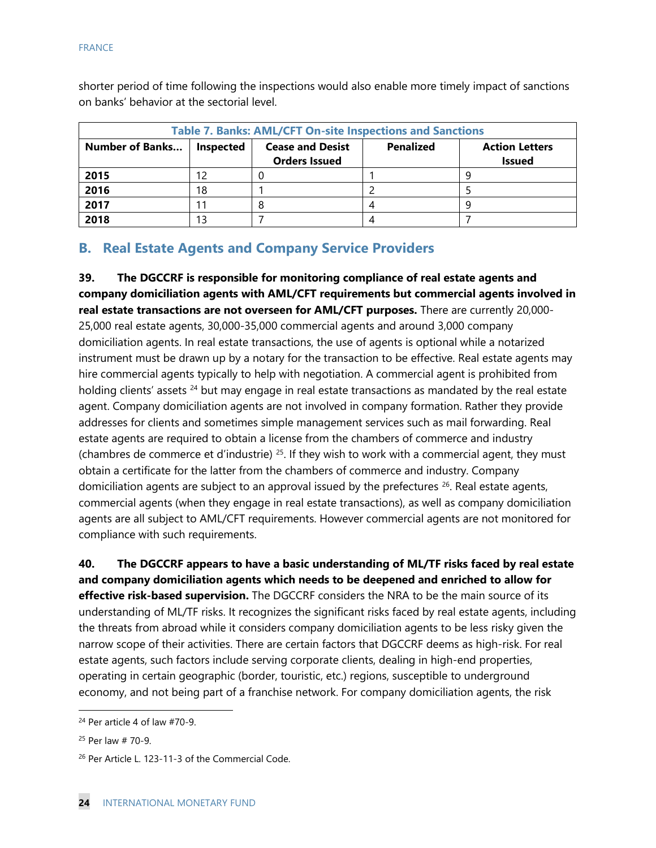shorter period of time following the inspections would also enable more timely impact of sanctions on banks' behavior at the sectorial level.

| <b>Table 7. Banks: AML/CFT On-site Inspections and Sanctions</b> |           |                                                 |                  |                                        |
|------------------------------------------------------------------|-----------|-------------------------------------------------|------------------|----------------------------------------|
| <b>Number of Banks</b>                                           | Inspected | <b>Cease and Desist</b><br><b>Orders Issued</b> | <b>Penalized</b> | <b>Action Letters</b><br><b>Issued</b> |
| 2015                                                             |           |                                                 |                  |                                        |
| 2016                                                             | 18        |                                                 |                  |                                        |
| 2017                                                             |           |                                                 |                  |                                        |
| 2018                                                             |           |                                                 |                  |                                        |

#### **B. Real Estate Agents and Company Service Providers**

**39. The DGCCRF is responsible for monitoring compliance of real estate agents and company domiciliation agents with AML/CFT requirements but commercial agents involved in real estate transactions are not overseen for AML/CFT purposes.** There are currently 20,000- 25,000 real estate agents, 30,000-35,000 commercial agents and around 3,000 company domiciliation agents. In real estate transactions, the use of agents is optional while a notarized instrument must be drawn up by a notary for the transaction to be effective. Real estate agents may hire commercial agents typically to help with negotiation. A commercial agent is prohibited from holding clients' assets <sup>[24](#page-24-0)</sup> but may engage in real estate transactions as mandated by the real estate agent. Company domiciliation agents are not involved in company formation. Rather they provide addresses for clients and sometimes simple management services such as mail forwarding. Real estate agents are required to obtain a license from the chambers of commerce and industry (chambres de commerce et d'industrie)  $25$ . If they wish to work with a commercial agent, they must obtain a certificate for the latter from the chambers of commerce and industry. Company domiciliation agents are subject to an approval issued by the prefectures  $^{26}$ . Real estate agents, commercial agents (when they engage in real estate transactions), as well as company domiciliation agents are all subject to AML/CFT requirements. However commercial agents are not monitored for compliance with such requirements.

**40. The DGCCRF appears to have a basic understanding of ML/TF risks faced by real estate and company domiciliation agents which needs to be deepened and enriched to allow for effective risk-based supervision.** The DGCCRF considers the NRA to be the main source of its understanding of ML/TF risks. It recognizes the significant risks faced by real estate agents, including the threats from abroad while it considers company domiciliation agents to be less risky given the narrow scope of their activities. There are certain factors that DGCCRF deems as high-risk. For real estate agents, such factors include serving corporate clients, dealing in high-end properties, operating in certain geographic (border, touristic, etc.) regions, susceptible to underground economy, and not being part of a franchise network. For company domiciliation agents, the risk

<span id="page-24-0"></span> $24$  Per article 4 of law  $#70-9$ .

<span id="page-24-1"></span><sup>25</sup> Per law # 70-9.

<span id="page-24-2"></span><sup>26</sup> Per Article L. 123-11-3 of the Commercial Code.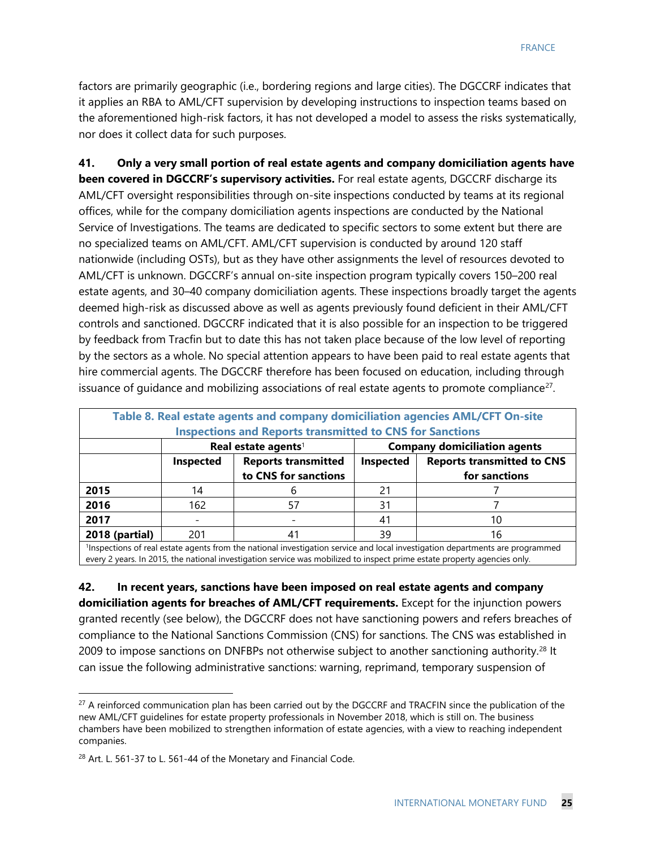factors are primarily geographic (i.e., bordering regions and large cities). The DGCCRF indicates that it applies an RBA to AML/CFT supervision by developing instructions to inspection teams based on the aforementioned high-risk factors, it has not developed a model to assess the risks systematically, nor does it collect data for such purposes.

**41. Only a very small portion of real estate agents and company domiciliation agents have been covered in DGCCRF's supervisory activities.** For real estate agents, DGCCRF discharge its AML/CFT oversight responsibilities through on-site inspections conducted by teams at its regional offices, while for the company domiciliation agents inspections are conducted by the National Service of Investigations. The teams are dedicated to specific sectors to some extent but there are no specialized teams on AML/CFT. AML/CFT supervision is conducted by around 120 staff nationwide (including OSTs), but as they have other assignments the level of resources devoted to AML/CFT is unknown. DGCCRF's annual on-site inspection program typically covers 150–200 real estate agents, and 30–40 company domiciliation agents. These inspections broadly target the agents deemed high-risk as discussed above as well as agents previously found deficient in their AML/CFT controls and sanctioned. DGCCRF indicated that it is also possible for an inspection to be triggered by feedback from Tracfin but to date this has not taken place because of the low level of reporting by the sectors as a whole. No special attention appears to have been paid to real estate agents that hire commercial agents. The DGCCRF therefore has been focused on education, including through issuance of quidance and mobilizing associations of real estate agents to promote compliance $^{27}$  $^{27}$  $^{27}$ .

| Table 8. Real estate agents and company domiciliation agencies AML/CFT On-site<br><b>Inspections and Reports transmitted to CNS for Sanctions</b> |                                 |                                                                                        |                                     |                                                    |
|---------------------------------------------------------------------------------------------------------------------------------------------------|---------------------------------|----------------------------------------------------------------------------------------|-------------------------------------|----------------------------------------------------|
|                                                                                                                                                   | Real estate agents <sup>1</sup> |                                                                                        | <b>Company domiciliation agents</b> |                                                    |
|                                                                                                                                                   | <b>Inspected</b>                | <b>Reports transmitted</b><br>to CNS for sanctions                                     | Inspected                           | <b>Reports transmitted to CNS</b><br>for sanctions |
| 2015                                                                                                                                              | 14                              |                                                                                        | 21                                  |                                                    |
| 2016                                                                                                                                              | 162                             | 57                                                                                     | 31                                  |                                                    |
| 2017                                                                                                                                              |                                 |                                                                                        | 41                                  | 10                                                 |
| 2018 (partial)                                                                                                                                    | 201                             | 41<br>"我们不会不能会不会。""我们不能会不会,我们不能会不会不能会不会,我们不会不能会不能会不会。""我们不会不会不会,我们不会不会不会。""我们不会不会不会不会不 | 39                                  | 16                                                 |

1 Inspections of real estate agents from the national investigation service and local investigation departments are programmed every 2 years. In 2015, the national investigation service was mobilized to inspect prime estate property agencies only.

**42. In recent years, sanctions have been imposed on real estate agents and company domiciliation agents for breaches of AML/CFT requirements.** Except for the injunction powers granted recently (see below), the DGCCRF does not have sanctioning powers and refers breaches of compliance to the National Sanctions Commission (CNS) for sanctions. The CNS was established in 2009 to impose sanctions on DNFBPs not otherwise subject to another sanctioning authority.<sup>[28](#page-25-1)</sup> It can issue the following administrative sanctions: warning, reprimand, temporary suspension of

<span id="page-25-0"></span><sup>&</sup>lt;sup>27</sup> A reinforced communication plan has been carried out by the DGCCRF and TRACFIN since the publication of the new AML/CFT guidelines for estate property professionals in November 2018, which is still on. The business chambers have been mobilized to strengthen information of estate agencies, with a view to reaching independent companies.

<span id="page-25-1"></span><sup>&</sup>lt;sup>28</sup> Art. L. 561-37 to L. 561-44 of the Monetary and Financial Code.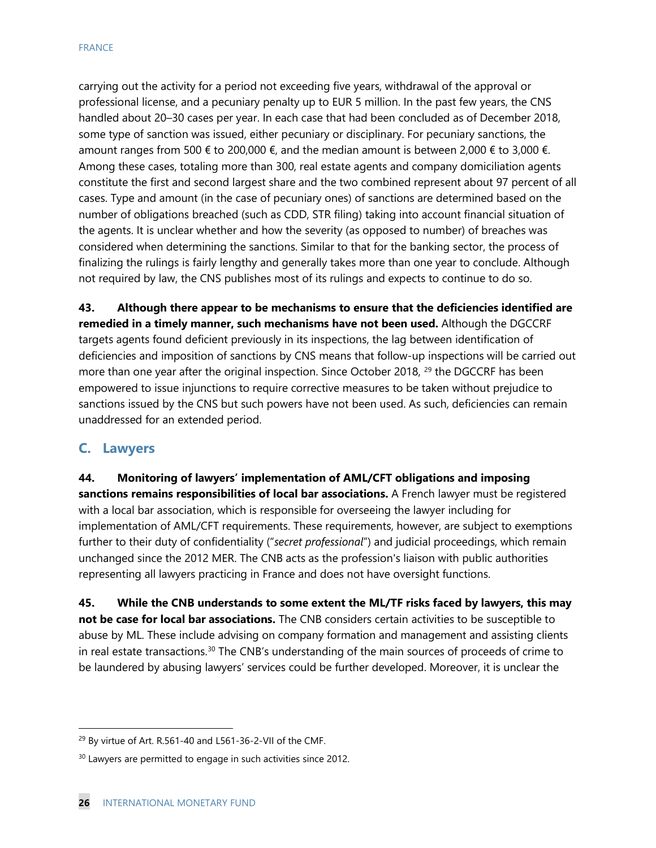carrying out the activity for a period not exceeding five years, withdrawal of the approval or professional license, and a pecuniary penalty up to EUR 5 million. In the past few years, the CNS handled about 20–30 cases per year. In each case that had been concluded as of December 2018, some type of sanction was issued, either pecuniary or disciplinary. For pecuniary sanctions, the amount ranges from 500  $\epsilon$  to 200,000  $\epsilon$ , and the median amount is between 2,000  $\epsilon$  to 3,000  $\epsilon$ . Among these cases, totaling more than 300, real estate agents and company domiciliation agents constitute the first and second largest share and the two combined represent about 97 percent of all cases. Type and amount (in the case of pecuniary ones) of sanctions are determined based on the number of obligations breached (such as CDD, STR filing) taking into account financial situation of the agents. It is unclear whether and how the severity (as opposed to number) of breaches was considered when determining the sanctions. Similar to that for the banking sector, the process of finalizing the rulings is fairly lengthy and generally takes more than one year to conclude. Although not required by law, the CNS publishes most of its rulings and expects to continue to do so.

**43. Although there appear to be mechanisms to ensure that the deficiencies identified are remedied in a timely manner, such mechanisms have not been used.** Although the DGCCRF targets agents found deficient previously in its inspections, the lag between identification of deficiencies and imposition of sanctions by CNS means that follow-up inspections will be carried out more than one year after the original inspection. Since October 2018, <sup>[29](#page-26-0)</sup> the DGCCRF has been empowered to issue injunctions to require corrective measures to be taken without prejudice to sanctions issued by the CNS but such powers have not been used. As such, deficiencies can remain unaddressed for an extended period.

#### **C. Lawyers**

**44. Monitoring of lawyers' implementation of AML/CFT obligations and imposing sanctions remains responsibilities of local bar associations.** A French lawyer must be registered with a local bar association, which is responsible for overseeing the lawyer including for implementation of AML/CFT requirements. These requirements, however, are subject to exemptions further to their duty of confidentiality ("*secret professional*") and judicial proceedings, which remain unchanged since the 2012 MER. The CNB acts as the profession's liaison with public authorities representing all lawyers practicing in France and does not have oversight functions.

**45. While the CNB understands to some extent the ML/TF risks faced by lawyers, this may not be case for local bar associations.** The CNB considers certain activities to be susceptible to abuse by ML. These include advising on company formation and management and assisting clients in real estate transactions.[30](#page-26-1) The CNB's understanding of the main sources of proceeds of crime to be laundered by abusing lawyers' services could be further developed. Moreover, it is unclear the

<span id="page-26-0"></span><sup>&</sup>lt;sup>29</sup> By virtue of Art. R.561-40 and L561-36-2-VII of the CMF.

<span id="page-26-1"></span><sup>&</sup>lt;sup>30</sup> Lawyers are permitted to engage in such activities since 2012.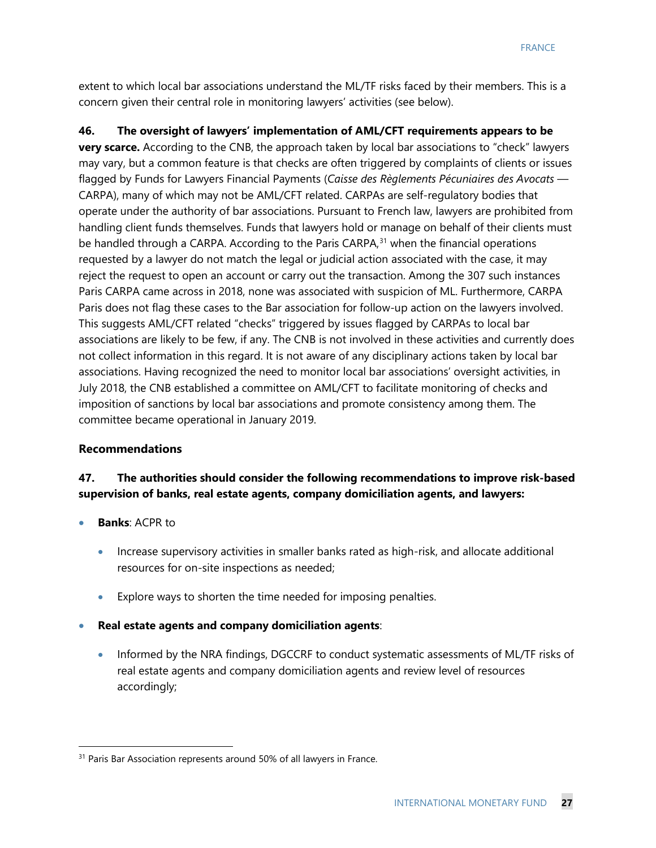extent to which local bar associations understand the ML/TF risks faced by their members. This is a concern given their central role in monitoring lawyers' activities (see below).

**46. The oversight of lawyers' implementation of AML/CFT requirements appears to be very scarce.** According to the CNB, the approach taken by local bar associations to "check" lawyers may vary, but a common feature is that checks are often triggered by complaints of clients or issues flagged by Funds for Lawyers Financial Payments (*Caisse des Règlements Pécuniaires des Avocats* — CARPA), many of which may not be AML/CFT related. CARPAs are self-regulatory bodies that operate under the authority of bar associations. Pursuant to French law, lawyers are prohibited from handling client funds themselves. Funds that lawyers hold or manage on behalf of their clients must be handled through a CARPA. According to the Paris CARPA $,31$  when the financial operations requested by a lawyer do not match the legal or judicial action associated with the case, it may reject the request to open an account or carry out the transaction. Among the 307 such instances Paris CARPA came across in 2018, none was associated with suspicion of ML. Furthermore, CARPA Paris does not flag these cases to the Bar association for follow-up action on the lawyers involved. This suggests AML/CFT related "checks" triggered by issues flagged by CARPAs to local bar associations are likely to be few, if any. The CNB is not involved in these activities and currently does not collect information in this regard. It is not aware of any disciplinary actions taken by local bar associations. Having recognized the need to monitor local bar associations' oversight activities, in July 2018, the CNB established a committee on AML/CFT to facilitate monitoring of checks and imposition of sanctions by local bar associations and promote consistency among them. The committee became operational in January 2019.

#### **Recommendations**

#### **47. The authorities should consider the following recommendations to improve risk-based supervision of banks, real estate agents, company domiciliation agents, and lawyers:**

- **Banks: ACPR to** 
	- Increase supervisory activities in smaller banks rated as high-risk, and allocate additional resources for on-site inspections as needed;
	- Explore ways to shorten the time needed for imposing penalties.
- **Real estate agents and company domiciliation agents**:
	- Informed by the NRA findings, DGCCRF to conduct systematic assessments of ML/TF risks of real estate agents and company domiciliation agents and review level of resources accordingly;

<span id="page-27-0"></span><sup>&</sup>lt;sup>31</sup> Paris Bar Association represents around 50% of all lawyers in France.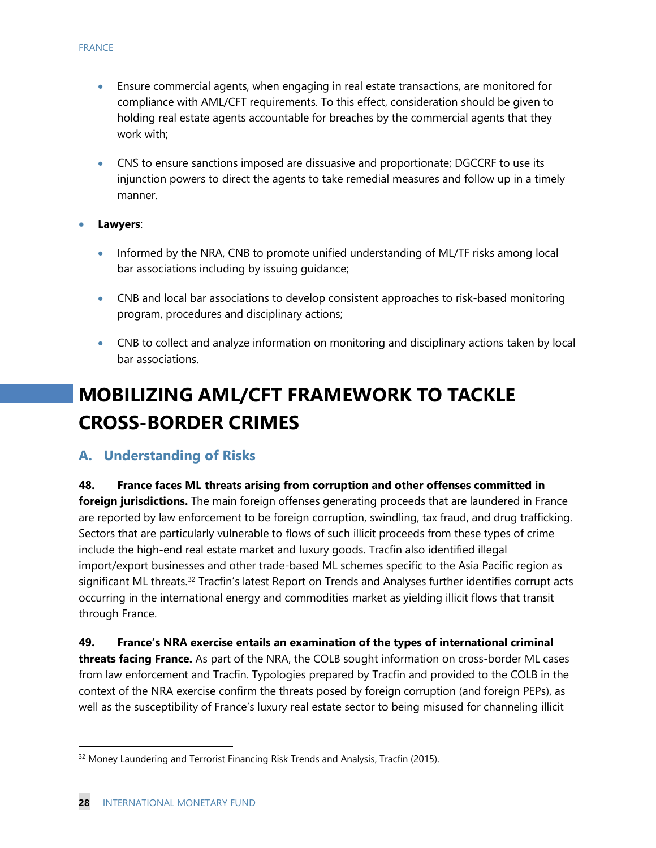- Ensure commercial agents, when engaging in real estate transactions, are monitored for compliance with AML/CFT requirements. To this effect, consideration should be given to holding real estate agents accountable for breaches by the commercial agents that they work with;
- CNS to ensure sanctions imposed are dissuasive and proportionate; DGCCRF to use its injunction powers to direct the agents to take remedial measures and follow up in a timely manner.
- **Lawyers**:
	- Informed by the NRA, CNB to promote unified understanding of ML/TF risks among local bar associations including by issuing guidance;
	- CNB and local bar associations to develop consistent approaches to risk-based monitoring program, procedures and disciplinary actions;
	- CNB to collect and analyze information on monitoring and disciplinary actions taken by local bar associations.

# **MOBILIZING AML/CFT FRAMEWORK TO TACKLE CROSS-BORDER CRIMES**

#### **A. Understanding of Risks**

**48. France faces ML threats arising from corruption and other offenses committed in foreign jurisdictions.** The main foreign offenses generating proceeds that are laundered in France are reported by law enforcement to be foreign corruption, swindling, tax fraud, and drug trafficking. Sectors that are particularly vulnerable to flows of such illicit proceeds from these types of crime include the high-end real estate market and luxury goods. Tracfin also identified illegal import/export businesses and other trade-based ML schemes specific to the Asia Pacific region as significant ML threats.<sup>[32](#page-28-0)</sup> Tracfin's latest Report on Trends and Analyses further identifies corrupt acts occurring in the international energy and commodities market as yielding illicit flows that transit through France.

#### **49. France's NRA exercise entails an examination of the types of international criminal threats facing France.** As part of the NRA, the COLB sought information on cross-border ML cases from law enforcement and Tracfin. Typologies prepared by Tracfin and provided to the COLB in the context of the NRA exercise confirm the threats posed by foreign corruption (and foreign PEPs), as well as the susceptibility of France's luxury real estate sector to being misused for channeling illicit

<span id="page-28-0"></span><sup>&</sup>lt;sup>32</sup> Money Laundering and Terrorist Financing Risk Trends and Analysis, Tracfin (2015).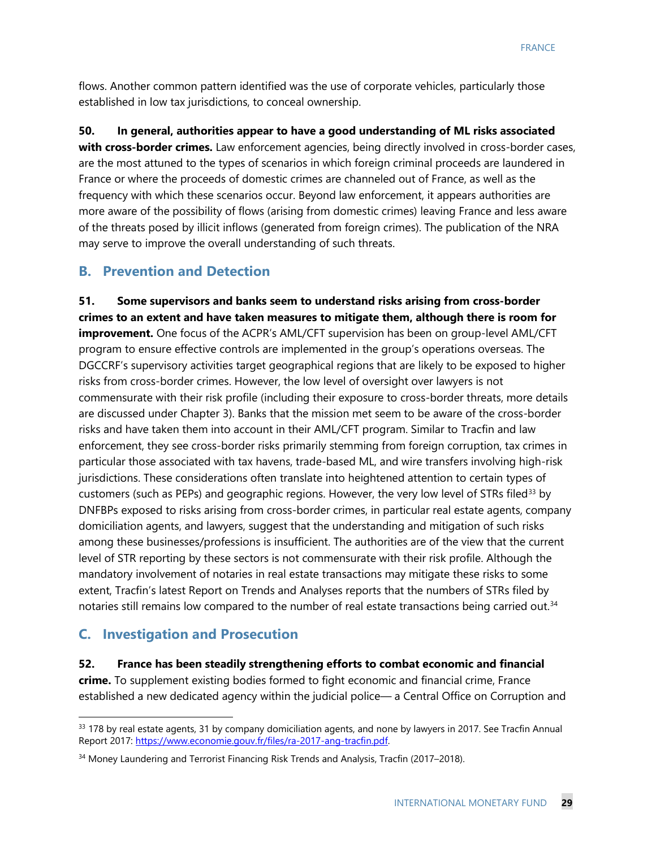flows. Another common pattern identified was the use of corporate vehicles, particularly those established in low tax jurisdictions, to conceal ownership.

**50. In general, authorities appear to have a good understanding of ML risks associated with cross-border crimes.** Law enforcement agencies, being directly involved in cross-border cases, are the most attuned to the types of scenarios in which foreign criminal proceeds are laundered in France or where the proceeds of domestic crimes are channeled out of France, as well as the frequency with which these scenarios occur. Beyond law enforcement, it appears authorities are more aware of the possibility of flows (arising from domestic crimes) leaving France and less aware of the threats posed by illicit inflows (generated from foreign crimes). The publication of the NRA may serve to improve the overall understanding of such threats.

#### **B. Prevention and Detection**

**51. Some supervisors and banks seem to understand risks arising from cross-border crimes to an extent and have taken measures to mitigate them, although there is room for improvement.** One focus of the ACPR's AML/CFT supervision has been on group-level AML/CFT program to ensure effective controls are implemented in the group's operations overseas. The DGCCRF's supervisory activities target geographical regions that are likely to be exposed to higher risks from cross-border crimes. However, the low level of oversight over lawyers is not commensurate with their risk profile (including their exposure to cross-border threats, more details are discussed under Chapter 3). Banks that the mission met seem to be aware of the cross-border risks and have taken them into account in their AML/CFT program. Similar to Tracfin and law enforcement, they see cross-border risks primarily stemming from foreign corruption, tax crimes in particular those associated with tax havens, trade-based ML, and wire transfers involving high-risk jurisdictions. These considerations often translate into heightened attention to certain types of customers (such as PEPs) and geographic regions. However, the very low level of STRs filed<sup>[33](#page-29-0)</sup> by DNFBPs exposed to risks arising from cross-border crimes, in particular real estate agents, company domiciliation agents, and lawyers, suggest that the understanding and mitigation of such risks among these businesses/professions is insufficient. The authorities are of the view that the current level of STR reporting by these sectors is not commensurate with their risk profile. Although the mandatory involvement of notaries in real estate transactions may mitigate these risks to some extent, Tracfin's latest Report on Trends and Analyses reports that the numbers of STRs filed by notaries still remains low compared to the number of real estate transactions being carried out.<sup>[34](#page-29-1)</sup>

#### **C. Investigation and Prosecution**

**52. France has been steadily strengthening efforts to combat economic and financial crime.** To supplement existing bodies formed to fight economic and financial crime, France established a new dedicated agency within the judicial police— a Central Office on Corruption and

<span id="page-29-0"></span><sup>33 178</sup> by real estate agents, 31 by company domiciliation agents, and none by lawyers in 2017. See Tracfin Annual Report 2017: [https://www.economie.gouv.fr/files/ra-2017-ang-tracfin.pdf.](https://www.economie.gouv.fr/files/ra-2017-ang-tracfin.pdf)

<span id="page-29-1"></span><sup>&</sup>lt;sup>34</sup> Money Laundering and Terrorist Financing Risk Trends and Analysis, Tracfin (2017–2018).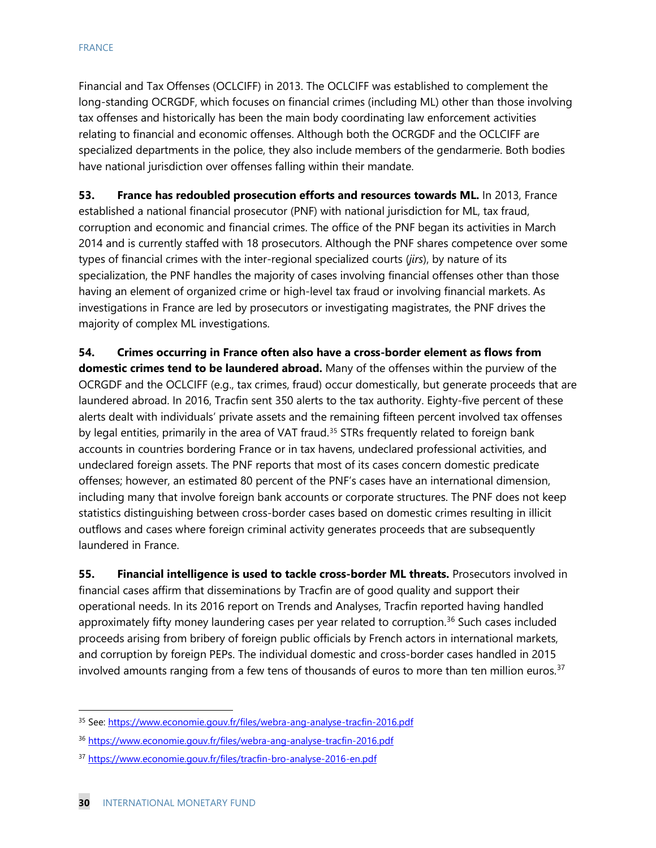Financial and Tax Offenses (OCLCIFF) in 2013. The OCLCIFF was established to complement the long-standing OCRGDF, which focuses on financial crimes (including ML) other than those involving tax offenses and historically has been the main body coordinating law enforcement activities relating to financial and economic offenses. Although both the OCRGDF and the OCLCIFF are specialized departments in the police, they also include members of the gendarmerie. Both bodies have national jurisdiction over offenses falling within their mandate.

**53. France has redoubled prosecution efforts and resources towards ML.** In 2013, France established a national financial prosecutor (PNF) with national jurisdiction for ML, tax fraud, corruption and economic and financial crimes. The office of the PNF began its activities in March 2014 and is currently staffed with 18 prosecutors. Although the PNF shares competence over some types of financial crimes with the inter-regional specialized courts (*jirs*), by nature of its specialization, the PNF handles the majority of cases involving financial offenses other than those having an element of organized crime or high-level tax fraud or involving financial markets. As investigations in France are led by prosecutors or investigating magistrates, the PNF drives the majority of complex ML investigations.

**54. Crimes occurring in France often also have a cross-border element as flows from domestic crimes tend to be laundered abroad.** Many of the offenses within the purview of the OCRGDF and the OCLCIFF (e.g., tax crimes, fraud) occur domestically, but generate proceeds that are laundered abroad. In 2016, Tracfin sent 350 alerts to the tax authority. Eighty-five percent of these alerts dealt with individuals' private assets and the remaining fifteen percent involved tax offenses by legal entities, primarily in the area of VAT fraud.<sup>[35](#page-30-0)</sup> STRs frequently related to foreign bank accounts in countries bordering France or in tax havens, undeclared professional activities, and undeclared foreign assets. The PNF reports that most of its cases concern domestic predicate offenses; however, an estimated 80 percent of the PNF's cases have an international dimension, including many that involve foreign bank accounts or corporate structures. The PNF does not keep statistics distinguishing between cross-border cases based on domestic crimes resulting in illicit outflows and cases where foreign criminal activity generates proceeds that are subsequently laundered in France.

**55. Financial intelligence is used to tackle cross-border ML threats.** Prosecutors involved in financial cases affirm that disseminations by Tracfin are of good quality and support their operational needs. In its 2016 report on Trends and Analyses, Tracfin reported having handled approximately fifty money laundering cases per year related to corruption. [36](#page-30-1) Such cases included proceeds arising from bribery of foreign public officials by French actors in international markets, and corruption by foreign PEPs. The individual domestic and cross-border cases handled in 2015 involved amounts ranging from a few tens of thousands of euros to more than ten million euros.<sup>[37](#page-30-2)</sup>

<span id="page-30-0"></span><sup>35</sup> See: <https://www.economie.gouv.fr/files/webra-ang-analyse-tracfin-2016.pdf>

<span id="page-30-1"></span><sup>36</sup> <https://www.economie.gouv.fr/files/webra-ang-analyse-tracfin-2016.pdf>

<span id="page-30-2"></span><sup>37</sup> <https://www.economie.gouv.fr/files/tracfin-bro-analyse-2016-en.pdf>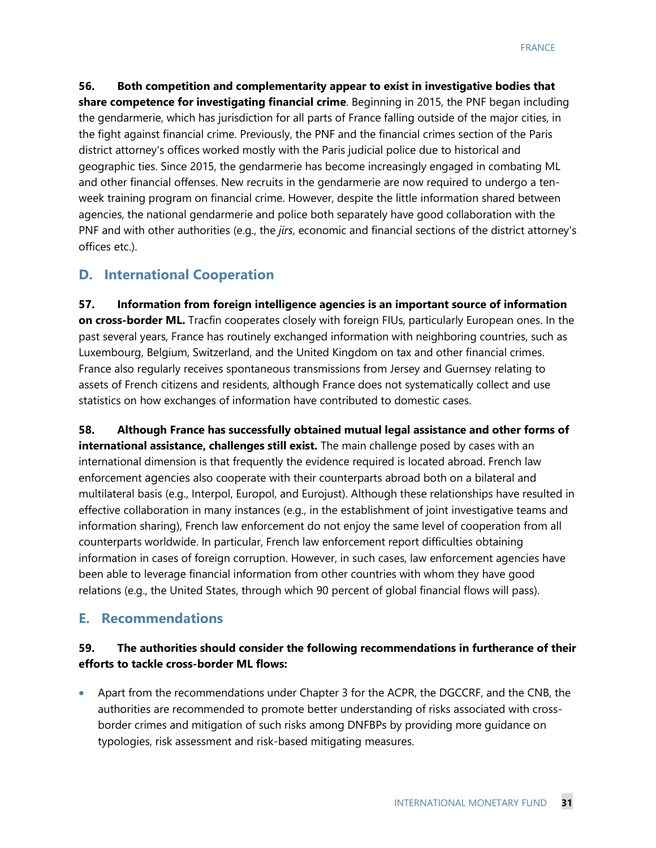**56. Both competition and complementarity appear to exist in investigative bodies that share competence for investigating financial crime**. Beginning in 2015, the PNF began including the gendarmerie, which has jurisdiction for all parts of France falling outside of the major cities, in the fight against financial crime. Previously, the PNF and the financial crimes section of the Paris district attorney's offices worked mostly with the Paris judicial police due to historical and geographic ties. Since 2015, the gendarmerie has become increasingly engaged in combating ML and other financial offenses. New recruits in the gendarmerie are now required to undergo a tenweek training program on financial crime. However, despite the little information shared between agencies, the national gendarmerie and police both separately have good collaboration with the PNF and with other authorities (e.g., the *jirs*, economic and financial sections of the district attorney's offices etc.).

## **D. International Cooperation**

**57. Information from foreign intelligence agencies is an important source of information on cross-border ML.** Tracfin cooperates closely with foreign FIUs, particularly European ones. In the past several years, France has routinely exchanged information with neighboring countries, such as Luxembourg, Belgium, Switzerland, and the United Kingdom on tax and other financial crimes. France also regularly receives spontaneous transmissions from Jersey and Guernsey relating to assets of French citizens and residents, although France does not systematically collect and use statistics on how exchanges of information have contributed to domestic cases.

**58. Although France has successfully obtained mutual legal assistance and other forms of international assistance, challenges still exist.** The main challenge posed by cases with an international dimension is that frequently the evidence required is located abroad. French law enforcement agencies also cooperate with their counterparts abroad both on a bilateral and multilateral basis (e.g., Interpol, Europol, and Eurojust). Although these relationships have resulted in effective collaboration in many instances (e.g., in the establishment of joint investigative teams and information sharing), French law enforcement do not enjoy the same level of cooperation from all counterparts worldwide. In particular, French law enforcement report difficulties obtaining information in cases of foreign corruption. However, in such cases, law enforcement agencies have been able to leverage financial information from other countries with whom they have good relations (e.g., the United States, through which 90 percent of global financial flows will pass).

### **E. Recommendations**

#### **59. The authorities should consider the following recommendations in furtherance of their efforts to tackle cross-border ML flows:**

• Apart from the recommendations under Chapter 3 for the ACPR, the DGCCRF, and the CNB, the authorities are recommended to promote better understanding of risks associated with crossborder crimes and mitigation of such risks among DNFBPs by providing more guidance on typologies, risk assessment and risk-based mitigating measures.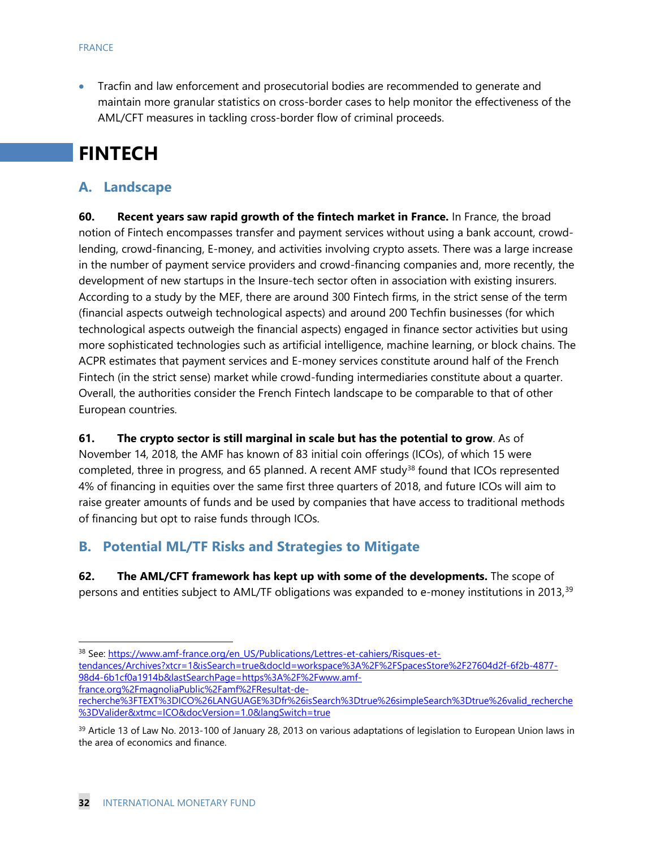• Tracfin and law enforcement and prosecutorial bodies are recommended to generate and maintain more granular statistics on cross-border cases to help monitor the effectiveness of the AML/CFT measures in tackling cross-border flow of criminal proceeds.

# **FINTECH**

## **A. Landscape**

**60. Recent years saw rapid growth of the fintech market in France.** In France, the broad notion of Fintech encompasses transfer and payment services without using a bank account, crowdlending, crowd-financing, E-money, and activities involving crypto assets. There was a large increase in the number of payment service providers and crowd-financing companies and, more recently, the development of new startups in the Insure-tech sector often in association with existing insurers. According to a study by the MEF, there are around 300 Fintech firms, in the strict sense of the term (financial aspects outweigh technological aspects) and around 200 Techfin businesses (for which technological aspects outweigh the financial aspects) engaged in finance sector activities but using more sophisticated technologies such as artificial intelligence, machine learning, or block chains. The ACPR estimates that payment services and E-money services constitute around half of the French Fintech (in the strict sense) market while crowd-funding intermediaries constitute about a quarter. Overall, the authorities consider the French Fintech landscape to be comparable to that of other European countries.

#### **61. The crypto sector is still marginal in scale but has the potential to grow**. As of

November 14, 2018, the AMF has known of 83 initial coin offerings (ICOs), of which 15 were completed, three in progress, and 65 planned. A recent AMF study<sup>[38](#page-32-0)</sup> found that ICOs represented 4% of financing in equities over the same first three quarters of 2018, and future ICOs will aim to raise greater amounts of funds and be used by companies that have access to traditional methods of financing but opt to raise funds through ICOs.

#### **B. Potential ML/TF Risks and Strategies to Mitigate**

**62. The AML/CFT framework has kept up with some of the developments.** The scope of persons and entities subject to AML/TF obligations was expanded to e-money institutions in 2013,<sup>[39](#page-32-1)</sup>

<span id="page-32-0"></span><sup>&</sup>lt;sup>38</sup> See: [https://www.amf-france.org/en\\_US/Publications/Lettres-et-cahiers/Risques-et](https://www.amf-france.org/en_US/Publications/Lettres-et-cahiers/Risques-et-tendances/Archives?xtcr=1&isSearch=true&docId=workspace%3A%2F%2FSpacesStore%2F27604d2f-6f2b-4877-98d4-6b1cf0a1914b&lastSearchPage=https%3A%2F%2Fwww.amf-france.org%2FmagnoliaPublic%2Famf%2FResultat-de-recherche%3FTEXT%3DICO%26LANGUAGE%3Dfr%26isSearch%3Dtrue%26simpleSearch%3Dtrue%26valid_recherche%3DValider&xtmc=ICO&docVersion=1.0&langSwitch=true)[tendances/Archives?xtcr=1&isSearch=true&docId=workspace%3A%2F%2FSpacesStore%2F27604d2f-6f2b-4877-](https://www.amf-france.org/en_US/Publications/Lettres-et-cahiers/Risques-et-tendances/Archives?xtcr=1&isSearch=true&docId=workspace%3A%2F%2FSpacesStore%2F27604d2f-6f2b-4877-98d4-6b1cf0a1914b&lastSearchPage=https%3A%2F%2Fwww.amf-france.org%2FmagnoliaPublic%2Famf%2FResultat-de-recherche%3FTEXT%3DICO%26LANGUAGE%3Dfr%26isSearch%3Dtrue%26simpleSearch%3Dtrue%26valid_recherche%3DValider&xtmc=ICO&docVersion=1.0&langSwitch=true) [98d4-6b1cf0a1914b&lastSearchPage=https%3A%2F%2Fwww.amf](https://www.amf-france.org/en_US/Publications/Lettres-et-cahiers/Risques-et-tendances/Archives?xtcr=1&isSearch=true&docId=workspace%3A%2F%2FSpacesStore%2F27604d2f-6f2b-4877-98d4-6b1cf0a1914b&lastSearchPage=https%3A%2F%2Fwww.amf-france.org%2FmagnoliaPublic%2Famf%2FResultat-de-recherche%3FTEXT%3DICO%26LANGUAGE%3Dfr%26isSearch%3Dtrue%26simpleSearch%3Dtrue%26valid_recherche%3DValider&xtmc=ICO&docVersion=1.0&langSwitch=true)[france.org%2FmagnoliaPublic%2Famf%2FResultat-de-](https://www.amf-france.org/en_US/Publications/Lettres-et-cahiers/Risques-et-tendances/Archives?xtcr=1&isSearch=true&docId=workspace%3A%2F%2FSpacesStore%2F27604d2f-6f2b-4877-98d4-6b1cf0a1914b&lastSearchPage=https%3A%2F%2Fwww.amf-france.org%2FmagnoliaPublic%2Famf%2FResultat-de-recherche%3FTEXT%3DICO%26LANGUAGE%3Dfr%26isSearch%3Dtrue%26simpleSearch%3Dtrue%26valid_recherche%3DValider&xtmc=ICO&docVersion=1.0&langSwitch=true)

[recherche%3FTEXT%3DICO%26LANGUAGE%3Dfr%26isSearch%3Dtrue%26simpleSearch%3Dtrue%26valid\\_recherche](https://www.amf-france.org/en_US/Publications/Lettres-et-cahiers/Risques-et-tendances/Archives?xtcr=1&isSearch=true&docId=workspace%3A%2F%2FSpacesStore%2F27604d2f-6f2b-4877-98d4-6b1cf0a1914b&lastSearchPage=https%3A%2F%2Fwww.amf-france.org%2FmagnoliaPublic%2Famf%2FResultat-de-recherche%3FTEXT%3DICO%26LANGUAGE%3Dfr%26isSearch%3Dtrue%26simpleSearch%3Dtrue%26valid_recherche%3DValider&xtmc=ICO&docVersion=1.0&langSwitch=true) [%3DValider&xtmc=ICO&docVersion=1.0&langSwitch=true](https://www.amf-france.org/en_US/Publications/Lettres-et-cahiers/Risques-et-tendances/Archives?xtcr=1&isSearch=true&docId=workspace%3A%2F%2FSpacesStore%2F27604d2f-6f2b-4877-98d4-6b1cf0a1914b&lastSearchPage=https%3A%2F%2Fwww.amf-france.org%2FmagnoliaPublic%2Famf%2FResultat-de-recherche%3FTEXT%3DICO%26LANGUAGE%3Dfr%26isSearch%3Dtrue%26simpleSearch%3Dtrue%26valid_recherche%3DValider&xtmc=ICO&docVersion=1.0&langSwitch=true)

<span id="page-32-1"></span><sup>&</sup>lt;sup>39</sup> Article 13 of Law No. 2013-100 of January 28, 2013 on various adaptations of legislation to European Union laws in the area of economics and finance.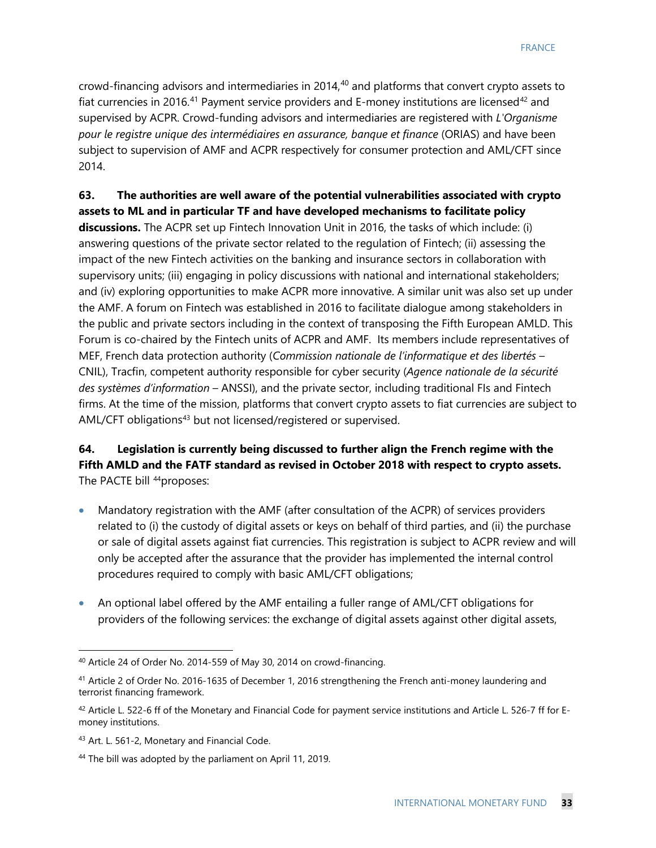crowd-financing advisors and intermediaries in 2014, $40$  and platforms that convert crypto assets to fiat currencies in 2016.<sup>[41](#page-33-1)</sup> Payment service providers and E-money institutions are licensed<sup>[42](#page-33-2)</sup> and supervised by ACPR. Crowd-funding advisors and intermediaries are registered with *L'Organisme pour le registre unique des intermédiaires en assurance, banque et finance* (ORIAS) and have been subject to supervision of AMF and ACPR respectively for consumer protection and AML/CFT since 2014.

**63. The authorities are well aware of the potential vulnerabilities associated with crypto assets to ML and in particular TF and have developed mechanisms to facilitate policy discussions.** The ACPR set up Fintech Innovation Unit in 2016, the tasks of which include: (i) answering questions of the private sector related to the regulation of Fintech; (ii) assessing the impact of the new Fintech activities on the banking and insurance sectors in collaboration with supervisory units; (iii) engaging in policy discussions with national and international stakeholders; and (iv) exploring opportunities to make ACPR more innovative. A similar unit was also set up under the AMF. A forum on Fintech was established in 2016 to facilitate dialogue among stakeholders in the public and private sectors including in the context of transposing the Fifth European AMLD. This Forum is co-chaired by the Fintech units of ACPR and AMF. Its members include representatives of MEF, French data protection authority (*Commission nationale de l'informatique et des libertés* – CNIL), Tracfin, competent authority responsible for cyber security (*Agence nationale de la sécurité des systèmes d'information* – ANSSI), and the private sector, including traditional FIs and Fintech firms. At the time of the mission, platforms that convert crypto assets to fiat currencies are subject to AML/CFT obligations<sup>[43](#page-33-3)</sup> but not licensed/registered or supervised.

#### **64. Legislation is currently being discussed to further align the French regime with the Fifth AMLD and the FATF standard as revised in October 2018 with respect to crypto assets.**  The PACTE bill <sup>[44](#page-33-4)</sup> proposes:

- Mandatory registration with the AMF (after consultation of the ACPR) of services providers related to (i) the custody of digital assets or keys on behalf of third parties, and (ii) the purchase or sale of digital assets against fiat currencies. This registration is subject to ACPR review and will only be accepted after the assurance that the provider has implemented the internal control procedures required to comply with basic AML/CFT obligations;
- An optional label offered by the AMF entailing a fuller range of AML/CFT obligations for providers of the following services: the exchange of digital assets against other digital assets,

<span id="page-33-0"></span> <sup>40</sup> Article 24 of Order No. 2014-559 of May 30, 2014 on crowd-financing.

<span id="page-33-1"></span><sup>41</sup> Article 2 of Order No. 2016-1635 of December 1, 2016 strengthening the French anti-money laundering and terrorist financing framework.

<span id="page-33-2"></span> $42$  Article L. 522-6 ff of the Monetary and Financial Code for payment service institutions and Article L. 526-7 ff for Emoney institutions.

<span id="page-33-3"></span><sup>43</sup> Art. L. 561-2, Monetary and Financial Code.

<span id="page-33-4"></span><sup>44</sup> The bill was adopted by the parliament on April 11, 2019.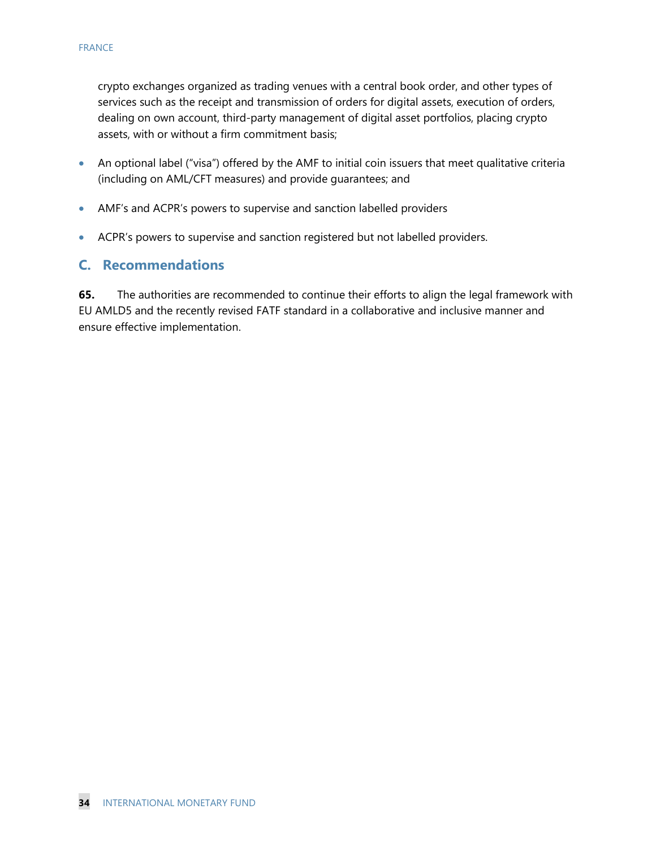crypto exchanges organized as trading venues with a central book order, and other types of services such as the receipt and transmission of orders for digital assets, execution of orders, dealing on own account, third-party management of digital asset portfolios, placing crypto assets, with or without a firm commitment basis;

- An optional label ("visa") offered by the AMF to initial coin issuers that meet qualitative criteria (including on AML/CFT measures) and provide guarantees; and
- AMF's and ACPR's powers to supervise and sanction labelled providers
- ACPR's powers to supervise and sanction registered but not labelled providers.

#### **C. Recommendations**

**65.** The authorities are recommended to continue their efforts to align the legal framework with EU AMLD5 and the recently revised FATF standard in a collaborative and inclusive manner and ensure effective implementation.